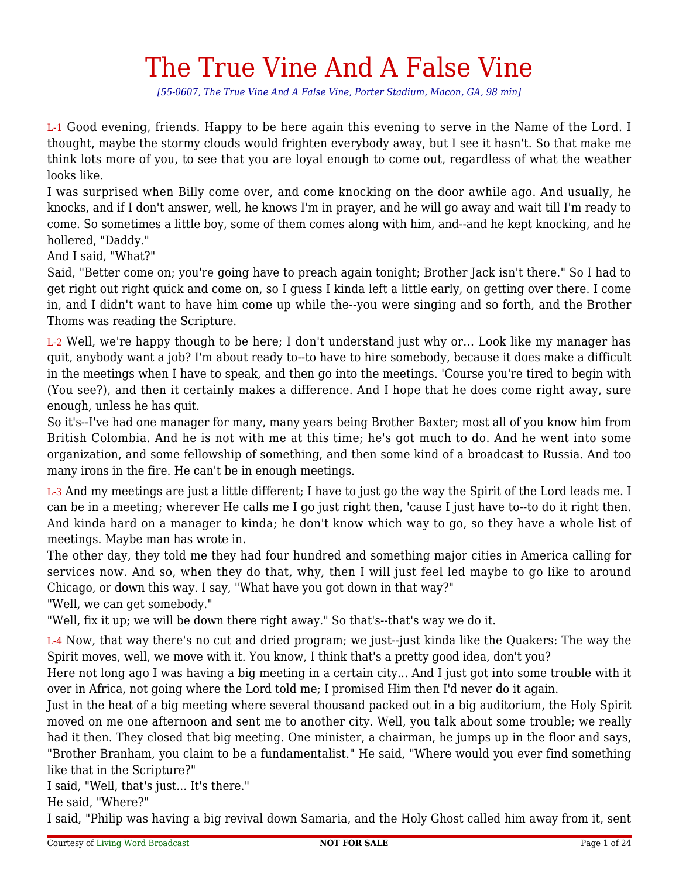## The True Vine And A False Vine

*[55-0607, The True Vine And A False Vine, Porter Stadium, Macon, GA, 98 min]*

L-1 Good evening, friends. Happy to be here again this evening to serve in the Name of the Lord. I thought, maybe the stormy clouds would frighten everybody away, but I see it hasn't. So that make me think lots more of you, to see that you are loyal enough to come out, regardless of what the weather looks like.

I was surprised when Billy come over, and come knocking on the door awhile ago. And usually, he knocks, and if I don't answer, well, he knows I'm in prayer, and he will go away and wait till I'm ready to come. So sometimes a little boy, some of them comes along with him, and--and he kept knocking, and he hollered, "Daddy."

And I said, "What?"

Said, "Better come on; you're going have to preach again tonight; Brother Jack isn't there." So I had to get right out right quick and come on, so I guess I kinda left a little early, on getting over there. I come in, and I didn't want to have him come up while the--you were singing and so forth, and the Brother Thoms was reading the Scripture.

L-2 Well, we're happy though to be here; I don't understand just why or... Look like my manager has quit, anybody want a job? I'm about ready to--to have to hire somebody, because it does make a difficult in the meetings when I have to speak, and then go into the meetings. 'Course you're tired to begin with (You see?), and then it certainly makes a difference. And I hope that he does come right away, sure enough, unless he has quit.

So it's--I've had one manager for many, many years being Brother Baxter; most all of you know him from British Colombia. And he is not with me at this time; he's got much to do. And he went into some organization, and some fellowship of something, and then some kind of a broadcast to Russia. And too many irons in the fire. He can't be in enough meetings.

L-3 And my meetings are just a little different; I have to just go the way the Spirit of the Lord leads me. I can be in a meeting; wherever He calls me I go just right then, 'cause I just have to--to do it right then. And kinda hard on a manager to kinda; he don't know which way to go, so they have a whole list of meetings. Maybe man has wrote in.

The other day, they told me they had four hundred and something major cities in America calling for services now. And so, when they do that, why, then I will just feel led maybe to go like to around Chicago, or down this way. I say, "What have you got down in that way?"

"Well, we can get somebody."

"Well, fix it up; we will be down there right away." So that's--that's way we do it.

L-4 Now, that way there's no cut and dried program; we just--just kinda like the Quakers: The way the Spirit moves, well, we move with it. You know, I think that's a pretty good idea, don't you?

Here not long ago I was having a big meeting in a certain city... And I just got into some trouble with it over in Africa, not going where the Lord told me; I promised Him then I'd never do it again.

Just in the heat of a big meeting where several thousand packed out in a big auditorium, the Holy Spirit moved on me one afternoon and sent me to another city. Well, you talk about some trouble; we really had it then. They closed that big meeting. One minister, a chairman, he jumps up in the floor and says, "Brother Branham, you claim to be a fundamentalist." He said, "Where would you ever find something like that in the Scripture?"

I said, "Well, that's just... It's there."

He said, "Where?"

I said, "Philip was having a big revival down Samaria, and the Holy Ghost called him away from it, sent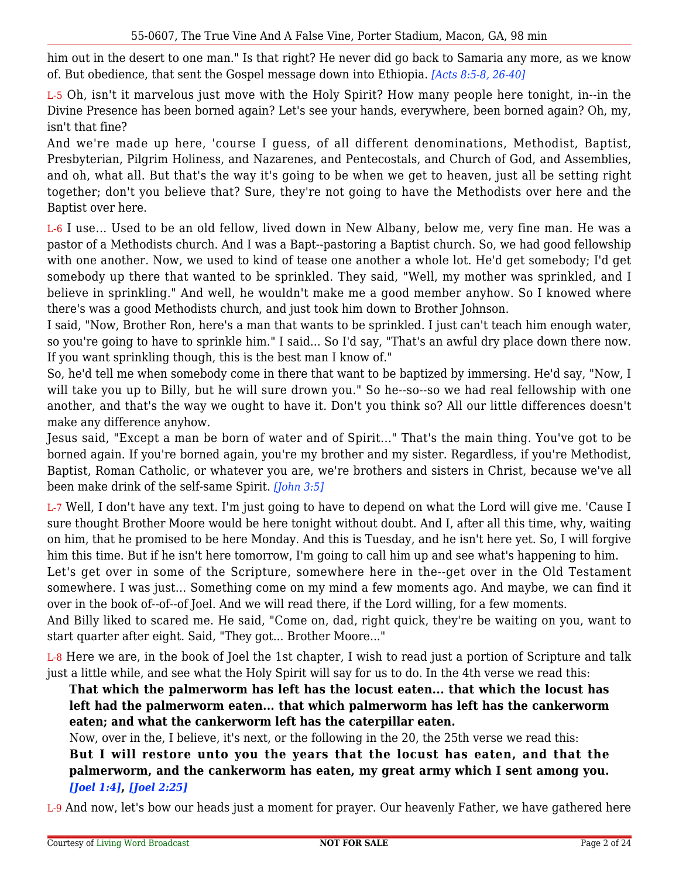him out in the desert to one man." Is that right? He never did go back to Samaria any more, as we know of. But obedience, that sent the Gospel message down into Ethiopia. *[Acts 8:5-8, 26-40]*

L-5 Oh, isn't it marvelous just move with the Holy Spirit? How many people here tonight, in--in the Divine Presence has been borned again? Let's see your hands, everywhere, been borned again? Oh, my, isn't that fine?

And we're made up here, 'course I guess, of all different denominations, Methodist, Baptist, Presbyterian, Pilgrim Holiness, and Nazarenes, and Pentecostals, and Church of God, and Assemblies, and oh, what all. But that's the way it's going to be when we get to heaven, just all be setting right together; don't you believe that? Sure, they're not going to have the Methodists over here and the Baptist over here.

L-6 I use... Used to be an old fellow, lived down in New Albany, below me, very fine man. He was a pastor of a Methodists church. And I was a Bapt--pastoring a Baptist church. So, we had good fellowship with one another. Now, we used to kind of tease one another a whole lot. He'd get somebody; I'd get somebody up there that wanted to be sprinkled. They said, "Well, my mother was sprinkled, and I believe in sprinkling." And well, he wouldn't make me a good member anyhow. So I knowed where there's was a good Methodists church, and just took him down to Brother Johnson.

I said, "Now, Brother Ron, here's a man that wants to be sprinkled. I just can't teach him enough water, so you're going to have to sprinkle him." I said... So I'd say, "That's an awful dry place down there now. If you want sprinkling though, this is the best man I know of."

So, he'd tell me when somebody come in there that want to be baptized by immersing. He'd say, "Now, I will take you up to Billy, but he will sure drown you." So he--so--so we had real fellowship with one another, and that's the way we ought to have it. Don't you think so? All our little differences doesn't make any difference anyhow.

Jesus said, "Except a man be born of water and of Spirit..." That's the main thing. You've got to be borned again. If you're borned again, you're my brother and my sister. Regardless, if you're Methodist, Baptist, Roman Catholic, or whatever you are, we're brothers and sisters in Christ, because we've all been make drink of the self-same Spirit. *[John 3:5]*

L-7 Well, I don't have any text. I'm just going to have to depend on what the Lord will give me. 'Cause I sure thought Brother Moore would be here tonight without doubt. And I, after all this time, why, waiting on him, that he promised to be here Monday. And this is Tuesday, and he isn't here yet. So, I will forgive him this time. But if he isn't here tomorrow, I'm going to call him up and see what's happening to him.

Let's get over in some of the Scripture, somewhere here in the--get over in the Old Testament somewhere. I was just... Something come on my mind a few moments ago. And maybe, we can find it over in the book of--of--of Joel. And we will read there, if the Lord willing, for a few moments.

And Billy liked to scared me. He said, "Come on, dad, right quick, they're be waiting on you, want to start quarter after eight. Said, "They got... Brother Moore..."

L-8 Here we are, in the book of Joel the 1st chapter, I wish to read just a portion of Scripture and talk just a little while, and see what the Holy Spirit will say for us to do. In the 4th verse we read this:

**That which the palmerworm has left has the locust eaten... that which the locust has left had the palmerworm eaten... that which palmerworm has left has the cankerworm eaten; and what the cankerworm left has the caterpillar eaten.**

Now, over in the, I believe, it's next, or the following in the 20, the 25th verse we read this: **But I will restore unto you the years that the locust has eaten, and that the palmerworm, and the cankerworm has eaten, my great army which I sent among you.** *[Joel 1:4]***,** *[Joel 2:25]*

L-9 And now, let's bow our heads just a moment for prayer. Our heavenly Father, we have gathered here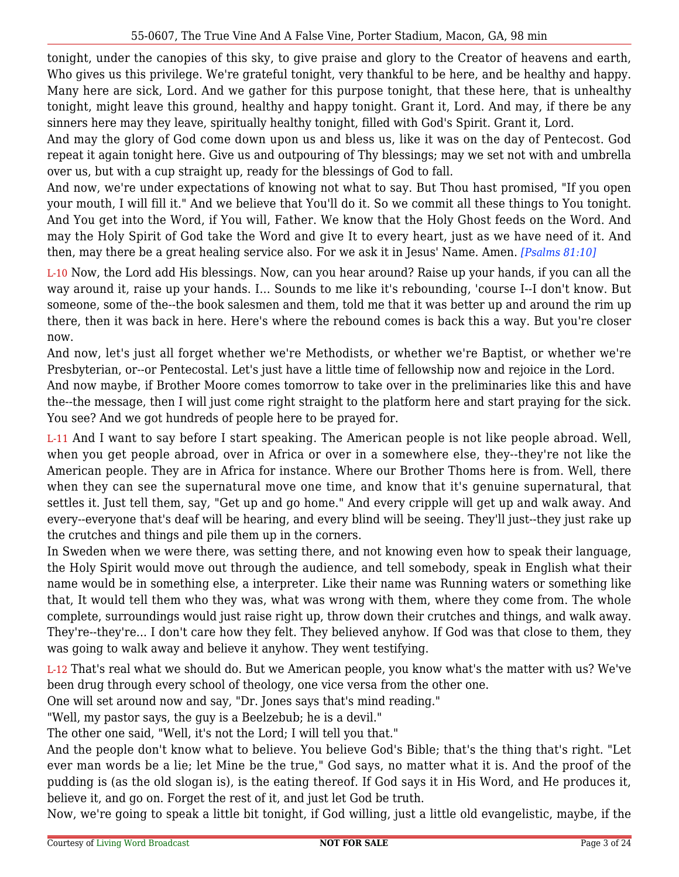tonight, under the canopies of this sky, to give praise and glory to the Creator of heavens and earth, Who gives us this privilege. We're grateful tonight, very thankful to be here, and be healthy and happy. Many here are sick, Lord. And we gather for this purpose tonight, that these here, that is unhealthy tonight, might leave this ground, healthy and happy tonight. Grant it, Lord. And may, if there be any sinners here may they leave, spiritually healthy tonight, filled with God's Spirit. Grant it, Lord.

And may the glory of God come down upon us and bless us, like it was on the day of Pentecost. God repeat it again tonight here. Give us and outpouring of Thy blessings; may we set not with and umbrella over us, but with a cup straight up, ready for the blessings of God to fall.

And now, we're under expectations of knowing not what to say. But Thou hast promised, "If you open your mouth, I will fill it." And we believe that You'll do it. So we commit all these things to You tonight. And You get into the Word, if You will, Father. We know that the Holy Ghost feeds on the Word. And may the Holy Spirit of God take the Word and give It to every heart, just as we have need of it. And then, may there be a great healing service also. For we ask it in Jesus' Name. Amen. *[Psalms 81:10]*

L-10 Now, the Lord add His blessings. Now, can you hear around? Raise up your hands, if you can all the way around it, raise up your hands. I... Sounds to me like it's rebounding, 'course I--I don't know. But someone, some of the--the book salesmen and them, told me that it was better up and around the rim up there, then it was back in here. Here's where the rebound comes is back this a way. But you're closer now.

And now, let's just all forget whether we're Methodists, or whether we're Baptist, or whether we're Presbyterian, or--or Pentecostal. Let's just have a little time of fellowship now and rejoice in the Lord.

And now maybe, if Brother Moore comes tomorrow to take over in the preliminaries like this and have the--the message, then I will just come right straight to the platform here and start praying for the sick. You see? And we got hundreds of people here to be prayed for.

L-11 And I want to say before I start speaking. The American people is not like people abroad. Well, when you get people abroad, over in Africa or over in a somewhere else, they--they're not like the American people. They are in Africa for instance. Where our Brother Thoms here is from. Well, there when they can see the supernatural move one time, and know that it's genuine supernatural, that settles it. Just tell them, say, "Get up and go home." And every cripple will get up and walk away. And every--everyone that's deaf will be hearing, and every blind will be seeing. They'll just--they just rake up the crutches and things and pile them up in the corners.

In Sweden when we were there, was setting there, and not knowing even how to speak their language, the Holy Spirit would move out through the audience, and tell somebody, speak in English what their name would be in something else, a interpreter. Like their name was Running waters or something like that, It would tell them who they was, what was wrong with them, where they come from. The whole complete, surroundings would just raise right up, throw down their crutches and things, and walk away. They're--they're... I don't care how they felt. They believed anyhow. If God was that close to them, they was going to walk away and believe it anyhow. They went testifying.

L-12 That's real what we should do. But we American people, you know what's the matter with us? We've been drug through every school of theology, one vice versa from the other one.

One will set around now and say, "Dr. Jones says that's mind reading."

"Well, my pastor says, the guy is a Beelzebub; he is a devil."

The other one said, "Well, it's not the Lord; I will tell you that."

And the people don't know what to believe. You believe God's Bible; that's the thing that's right. "Let ever man words be a lie; let Mine be the true," God says, no matter what it is. And the proof of the pudding is (as the old slogan is), is the eating thereof. If God says it in His Word, and He produces it, believe it, and go on. Forget the rest of it, and just let God be truth.

Now, we're going to speak a little bit tonight, if God willing, just a little old evangelistic, maybe, if the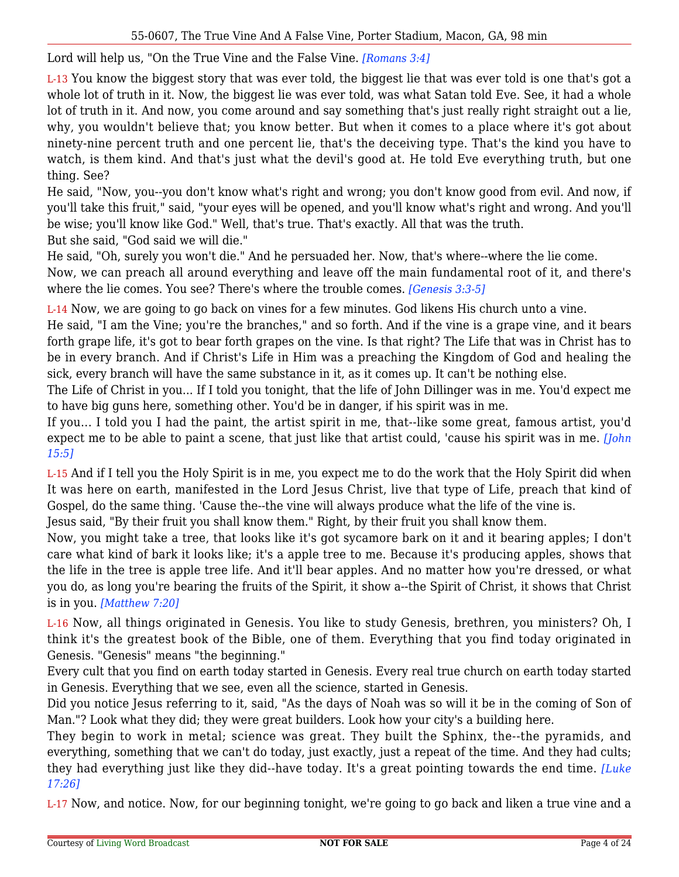Lord will help us, "On the True Vine and the False Vine. *[Romans 3:4]*

L-13 You know the biggest story that was ever told, the biggest lie that was ever told is one that's got a whole lot of truth in it. Now, the biggest lie was ever told, was what Satan told Eve. See, it had a whole lot of truth in it. And now, you come around and say something that's just really right straight out a lie, why, you wouldn't believe that; you know better. But when it comes to a place where it's got about ninety-nine percent truth and one percent lie, that's the deceiving type. That's the kind you have to watch, is them kind. And that's just what the devil's good at. He told Eve everything truth, but one thing. See?

He said, "Now, you--you don't know what's right and wrong; you don't know good from evil. And now, if you'll take this fruit," said, "your eyes will be opened, and you'll know what's right and wrong. And you'll be wise; you'll know like God." Well, that's true. That's exactly. All that was the truth. But she said, "God said we will die."

He said, "Oh, surely you won't die." And he persuaded her. Now, that's where--where the lie come.

Now, we can preach all around everything and leave off the main fundamental root of it, and there's where the lie comes. You see? There's where the trouble comes. *[Genesis 3:3-5]*

L-14 Now, we are going to go back on vines for a few minutes. God likens His church unto a vine.

He said, "I am the Vine; you're the branches," and so forth. And if the vine is a grape vine, and it bears forth grape life, it's got to bear forth grapes on the vine. Is that right? The Life that was in Christ has to be in every branch. And if Christ's Life in Him was a preaching the Kingdom of God and healing the sick, every branch will have the same substance in it, as it comes up. It can't be nothing else.

The Life of Christ in you... If I told you tonight, that the life of John Dillinger was in me. You'd expect me to have big guns here, something other. You'd be in danger, if his spirit was in me.

If you... I told you I had the paint, the artist spirit in me, that--like some great, famous artist, you'd expect me to be able to paint a scene, that just like that artist could, 'cause his spirit was in me. *[John 15:5]*

L-15 And if I tell you the Holy Spirit is in me, you expect me to do the work that the Holy Spirit did when It was here on earth, manifested in the Lord Jesus Christ, live that type of Life, preach that kind of Gospel, do the same thing. 'Cause the--the vine will always produce what the life of the vine is.

Jesus said, "By their fruit you shall know them." Right, by their fruit you shall know them.

Now, you might take a tree, that looks like it's got sycamore bark on it and it bearing apples; I don't care what kind of bark it looks like; it's a apple tree to me. Because it's producing apples, shows that the life in the tree is apple tree life. And it'll bear apples. And no matter how you're dressed, or what you do, as long you're bearing the fruits of the Spirit, it show a--the Spirit of Christ, it shows that Christ is in you. *[Matthew 7:20]*

L-16 Now, all things originated in Genesis. You like to study Genesis, brethren, you ministers? Oh, I think it's the greatest book of the Bible, one of them. Everything that you find today originated in Genesis. "Genesis" means "the beginning."

Every cult that you find on earth today started in Genesis. Every real true church on earth today started in Genesis. Everything that we see, even all the science, started in Genesis.

Did you notice Jesus referring to it, said, "As the days of Noah was so will it be in the coming of Son of Man."? Look what they did; they were great builders. Look how your city's a building here.

They begin to work in metal; science was great. They built the Sphinx, the--the pyramids, and everything, something that we can't do today, just exactly, just a repeat of the time. And they had cults; they had everything just like they did--have today. It's a great pointing towards the end time. *[Luke 17:26]*

L-17 Now, and notice. Now, for our beginning tonight, we're going to go back and liken a true vine and a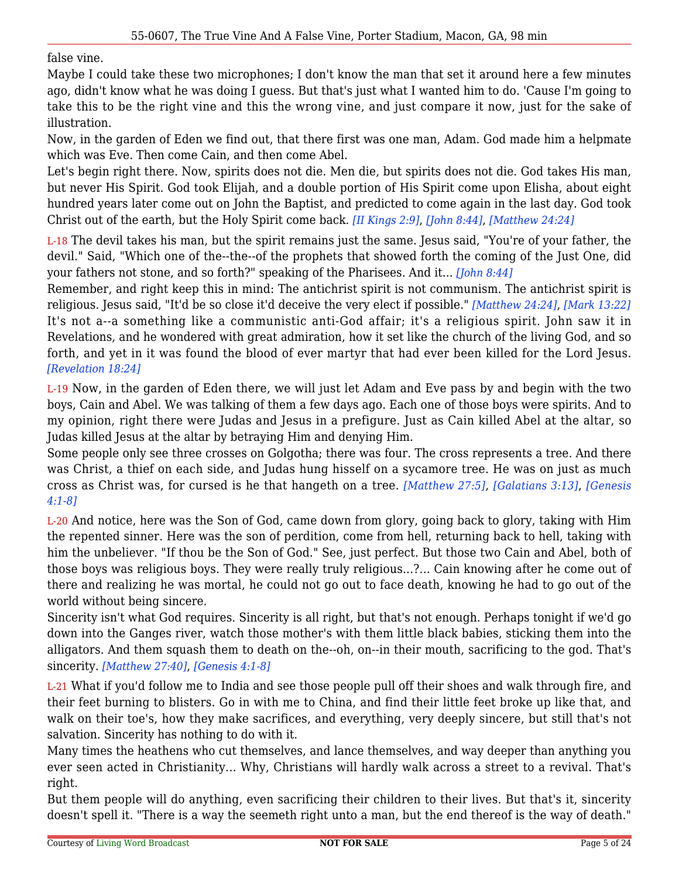false vine.

Maybe I could take these two microphones; I don't know the man that set it around here a few minutes ago, didn't know what he was doing I guess. But that's just what I wanted him to do. 'Cause I'm going to take this to be the right vine and this the wrong vine, and just compare it now, just for the sake of illustration.

Now, in the garden of Eden we find out, that there first was one man, Adam. God made him a helpmate which was Eve. Then come Cain, and then come Abel.

Let's begin right there. Now, spirits does not die. Men die, but spirits does not die. God takes His man, but never His Spirit. God took Elijah, and a double portion of His Spirit come upon Elisha, about eight hundred years later come out on John the Baptist, and predicted to come again in the last day. God took Christ out of the earth, but the Holy Spirit come back. *[II Kings 2:9]*, *[John 8:44]*, *[Matthew 24:24]*

L-18 The devil takes his man, but the spirit remains just the same. Jesus said, "You're of your father, the devil." Said, "Which one of the--the--of the prophets that showed forth the coming of the Just One, did your fathers not stone, and so forth?" speaking of the Pharisees. And it... *[John 8:44]*

Remember, and right keep this in mind: The antichrist spirit is not communism. The antichrist spirit is religious. Jesus said, "It'd be so close it'd deceive the very elect if possible." *[Matthew 24:24]*, *[Mark 13:22]* It's not a--a something like a communistic anti-God affair; it's a religious spirit. John saw it in Revelations, and he wondered with great admiration, how it set like the church of the living God, and so forth, and yet in it was found the blood of ever martyr that had ever been killed for the Lord Jesus. *[Revelation 18:24]*

L-19 Now, in the garden of Eden there, we will just let Adam and Eve pass by and begin with the two boys, Cain and Abel. We was talking of them a few days ago. Each one of those boys were spirits. And to my opinion, right there were Judas and Jesus in a prefigure. Just as Cain killed Abel at the altar, so Judas killed Jesus at the altar by betraying Him and denying Him.

Some people only see three crosses on Golgotha; there was four. The cross represents a tree. And there was Christ, a thief on each side, and Judas hung hisself on a sycamore tree. He was on just as much cross as Christ was, for cursed is he that hangeth on a tree. *[Matthew 27:5]*, *[Galatians 3:13]*, *[Genesis 4:1-8]*

L-20 And notice, here was the Son of God, came down from glory, going back to glory, taking with Him the repented sinner. Here was the son of perdition, come from hell, returning back to hell, taking with him the unbeliever. "If thou be the Son of God." See, just perfect. But those two Cain and Abel, both of those boys was religious boys. They were really truly religious...?... Cain knowing after he come out of there and realizing he was mortal, he could not go out to face death, knowing he had to go out of the world without being sincere.

Sincerity isn't what God requires. Sincerity is all right, but that's not enough. Perhaps tonight if we'd go down into the Ganges river, watch those mother's with them little black babies, sticking them into the alligators. And them squash them to death on the--oh, on--in their mouth, sacrificing to the god. That's sincerity. *[Matthew 27:40]*, *[Genesis 4:1-8]*

L-21 What if you'd follow me to India and see those people pull off their shoes and walk through fire, and their feet burning to blisters. Go in with me to China, and find their little feet broke up like that, and walk on their toe's, how they make sacrifices, and everything, very deeply sincere, but still that's not salvation. Sincerity has nothing to do with it.

Many times the heathens who cut themselves, and lance themselves, and way deeper than anything you ever seen acted in Christianity... Why, Christians will hardly walk across a street to a revival. That's right.

But them people will do anything, even sacrificing their children to their lives. But that's it, sincerity doesn't spell it. "There is a way the seemeth right unto a man, but the end thereof is the way of death."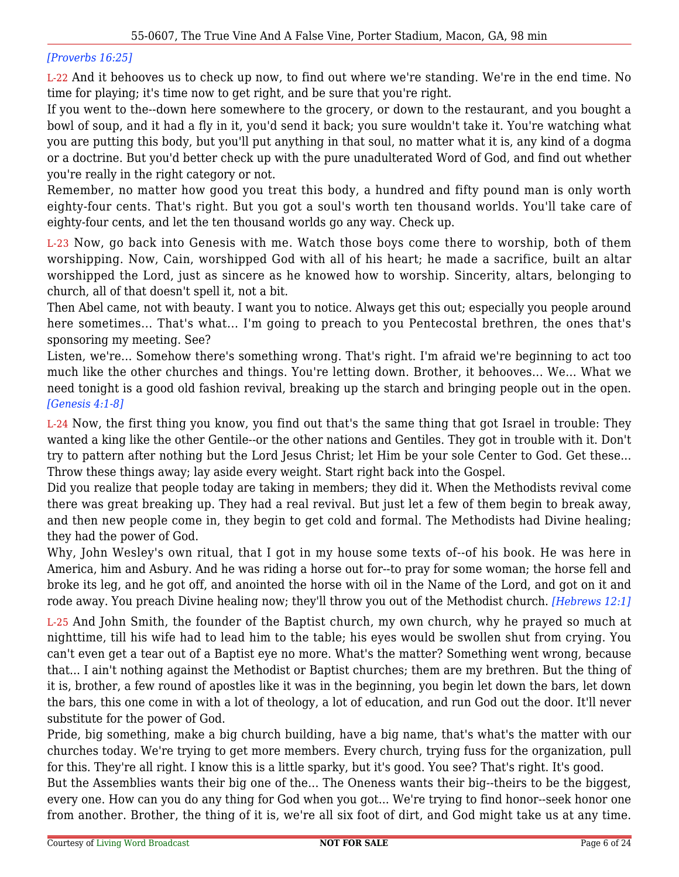## *[Proverbs 16:25]*

L-22 And it behooves us to check up now, to find out where we're standing. We're in the end time. No time for playing; it's time now to get right, and be sure that you're right.

If you went to the--down here somewhere to the grocery, or down to the restaurant, and you bought a bowl of soup, and it had a fly in it, you'd send it back; you sure wouldn't take it. You're watching what you are putting this body, but you'll put anything in that soul, no matter what it is, any kind of a dogma or a doctrine. But you'd better check up with the pure unadulterated Word of God, and find out whether you're really in the right category or not.

Remember, no matter how good you treat this body, a hundred and fifty pound man is only worth eighty-four cents. That's right. But you got a soul's worth ten thousand worlds. You'll take care of eighty-four cents, and let the ten thousand worlds go any way. Check up.

L-23 Now, go back into Genesis with me. Watch those boys come there to worship, both of them worshipping. Now, Cain, worshipped God with all of his heart; he made a sacrifice, built an altar worshipped the Lord, just as sincere as he knowed how to worship. Sincerity, altars, belonging to church, all of that doesn't spell it, not a bit.

Then Abel came, not with beauty. I want you to notice. Always get this out; especially you people around here sometimes... That's what... I'm going to preach to you Pentecostal brethren, the ones that's sponsoring my meeting. See?

Listen, we're... Somehow there's something wrong. That's right. I'm afraid we're beginning to act too much like the other churches and things. You're letting down. Brother, it behooves... We... What we need tonight is a good old fashion revival, breaking up the starch and bringing people out in the open. *[Genesis 4:1-8]*

L-24 Now, the first thing you know, you find out that's the same thing that got Israel in trouble: They wanted a king like the other Gentile--or the other nations and Gentiles. They got in trouble with it. Don't try to pattern after nothing but the Lord Jesus Christ; let Him be your sole Center to God. Get these... Throw these things away; lay aside every weight. Start right back into the Gospel.

Did you realize that people today are taking in members; they did it. When the Methodists revival come there was great breaking up. They had a real revival. But just let a few of them begin to break away, and then new people come in, they begin to get cold and formal. The Methodists had Divine healing; they had the power of God.

Why, John Wesley's own ritual, that I got in my house some texts of--of his book. He was here in America, him and Asbury. And he was riding a horse out for--to pray for some woman; the horse fell and broke its leg, and he got off, and anointed the horse with oil in the Name of the Lord, and got on it and rode away. You preach Divine healing now; they'll throw you out of the Methodist church. *[Hebrews 12:1]*

L-25 And John Smith, the founder of the Baptist church, my own church, why he prayed so much at nighttime, till his wife had to lead him to the table; his eyes would be swollen shut from crying. You can't even get a tear out of a Baptist eye no more. What's the matter? Something went wrong, because that... I ain't nothing against the Methodist or Baptist churches; them are my brethren. But the thing of it is, brother, a few round of apostles like it was in the beginning, you begin let down the bars, let down the bars, this one come in with a lot of theology, a lot of education, and run God out the door. It'll never substitute for the power of God.

Pride, big something, make a big church building, have a big name, that's what's the matter with our churches today. We're trying to get more members. Every church, trying fuss for the organization, pull for this. They're all right. I know this is a little sparky, but it's good. You see? That's right. It's good.

But the Assemblies wants their big one of the... The Oneness wants their big--theirs to be the biggest, every one. How can you do any thing for God when you got... We're trying to find honor--seek honor one from another. Brother, the thing of it is, we're all six foot of dirt, and God might take us at any time.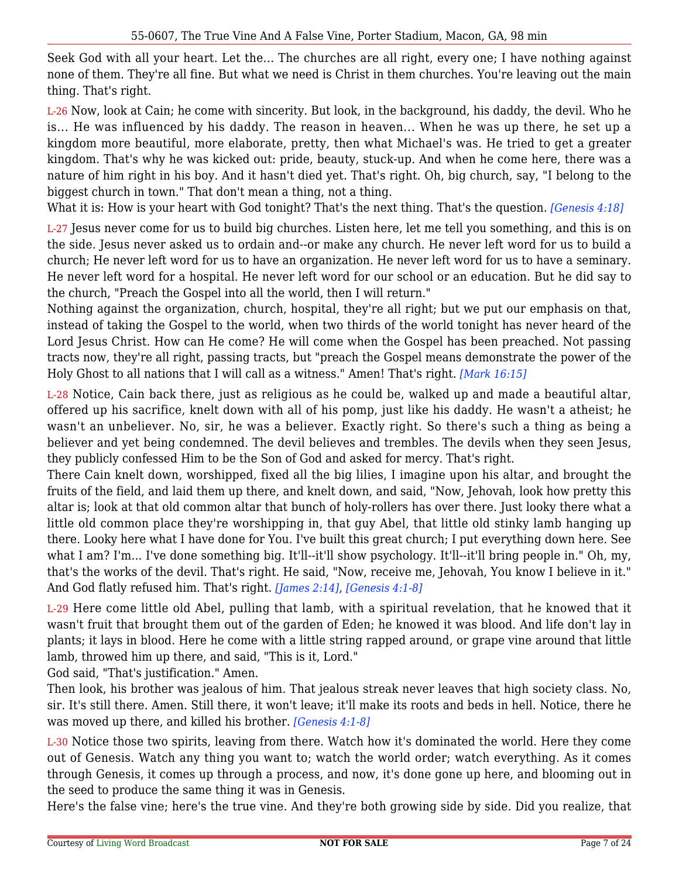Seek God with all your heart. Let the... The churches are all right, every one; I have nothing against none of them. They're all fine. But what we need is Christ in them churches. You're leaving out the main thing. That's right.

L-26 Now, look at Cain; he come with sincerity. But look, in the background, his daddy, the devil. Who he is... He was influenced by his daddy. The reason in heaven... When he was up there, he set up a kingdom more beautiful, more elaborate, pretty, then what Michael's was. He tried to get a greater kingdom. That's why he was kicked out: pride, beauty, stuck-up. And when he come here, there was a nature of him right in his boy. And it hasn't died yet. That's right. Oh, big church, say, "I belong to the biggest church in town." That don't mean a thing, not a thing.

What it is: How is your heart with God tonight? That's the next thing. That's the question. *[Genesis 4:18]*

L-27 Jesus never come for us to build big churches. Listen here, let me tell you something, and this is on the side. Jesus never asked us to ordain and--or make any church. He never left word for us to build a church; He never left word for us to have an organization. He never left word for us to have a seminary. He never left word for a hospital. He never left word for our school or an education. But he did say to the church, "Preach the Gospel into all the world, then I will return."

Nothing against the organization, church, hospital, they're all right; but we put our emphasis on that, instead of taking the Gospel to the world, when two thirds of the world tonight has never heard of the Lord Jesus Christ. How can He come? He will come when the Gospel has been preached. Not passing tracts now, they're all right, passing tracts, but "preach the Gospel means demonstrate the power of the Holy Ghost to all nations that I will call as a witness." Amen! That's right. *[Mark 16:15]*

L-28 Notice, Cain back there, just as religious as he could be, walked up and made a beautiful altar, offered up his sacrifice, knelt down with all of his pomp, just like his daddy. He wasn't a atheist; he wasn't an unbeliever. No, sir, he was a believer. Exactly right. So there's such a thing as being a believer and yet being condemned. The devil believes and trembles. The devils when they seen Jesus, they publicly confessed Him to be the Son of God and asked for mercy. That's right.

There Cain knelt down, worshipped, fixed all the big lilies, I imagine upon his altar, and brought the fruits of the field, and laid them up there, and knelt down, and said, "Now, Jehovah, look how pretty this altar is; look at that old common altar that bunch of holy-rollers has over there. Just looky there what a little old common place they're worshipping in, that guy Abel, that little old stinky lamb hanging up there. Looky here what I have done for You. I've built this great church; I put everything down here. See what I am? I'm... I've done something big. It'll--it'll show psychology. It'll--it'll bring people in." Oh, my, that's the works of the devil. That's right. He said, "Now, receive me, Jehovah, You know I believe in it." And God flatly refused him. That's right. *[James 2:14]*, *[Genesis 4:1-8]*

L-29 Here come little old Abel, pulling that lamb, with a spiritual revelation, that he knowed that it wasn't fruit that brought them out of the garden of Eden; he knowed it was blood. And life don't lay in plants; it lays in blood. Here he come with a little string rapped around, or grape vine around that little lamb, throwed him up there, and said, "This is it, Lord."

God said, "That's justification." Amen.

Then look, his brother was jealous of him. That jealous streak never leaves that high society class. No, sir. It's still there. Amen. Still there, it won't leave; it'll make its roots and beds in hell. Notice, there he was moved up there, and killed his brother. *[Genesis 4:1-8]*

L-30 Notice those two spirits, leaving from there. Watch how it's dominated the world. Here they come out of Genesis. Watch any thing you want to; watch the world order; watch everything. As it comes through Genesis, it comes up through a process, and now, it's done gone up here, and blooming out in the seed to produce the same thing it was in Genesis.

Here's the false vine; here's the true vine. And they're both growing side by side. Did you realize, that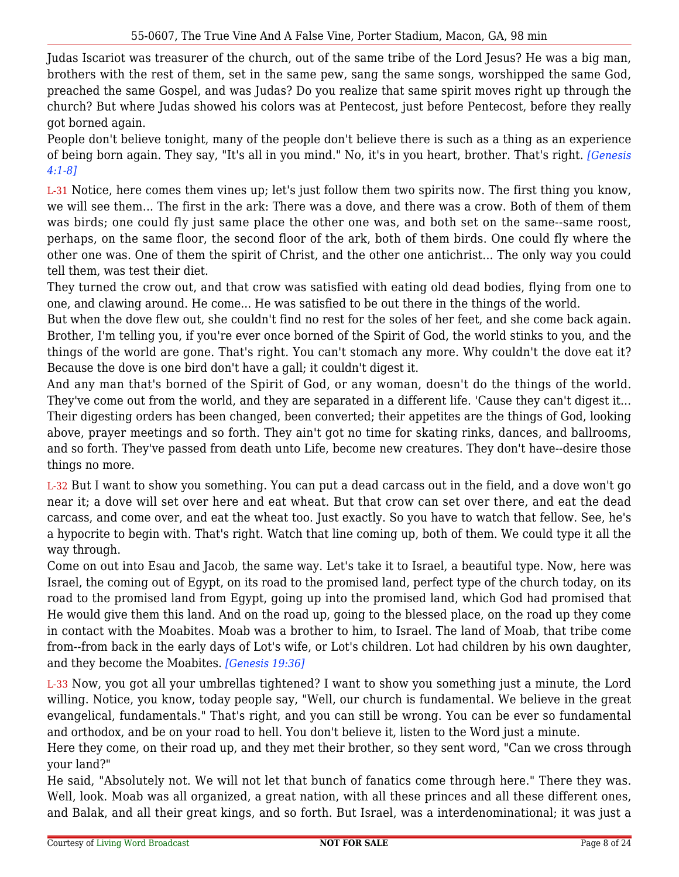Judas Iscariot was treasurer of the church, out of the same tribe of the Lord Jesus? He was a big man, brothers with the rest of them, set in the same pew, sang the same songs, worshipped the same God, preached the same Gospel, and was Judas? Do you realize that same spirit moves right up through the church? But where Judas showed his colors was at Pentecost, just before Pentecost, before they really got borned again.

People don't believe tonight, many of the people don't believe there is such as a thing as an experience of being born again. They say, "It's all in you mind." No, it's in you heart, brother. That's right. *[Genesis 4:1-8]*

L-31 Notice, here comes them vines up; let's just follow them two spirits now. The first thing you know, we will see them... The first in the ark: There was a dove, and there was a crow. Both of them of them was birds; one could fly just same place the other one was, and both set on the same--same roost, perhaps, on the same floor, the second floor of the ark, both of them birds. One could fly where the other one was. One of them the spirit of Christ, and the other one antichrist... The only way you could tell them, was test their diet.

They turned the crow out, and that crow was satisfied with eating old dead bodies, flying from one to one, and clawing around. He come... He was satisfied to be out there in the things of the world.

But when the dove flew out, she couldn't find no rest for the soles of her feet, and she come back again. Brother, I'm telling you, if you're ever once borned of the Spirit of God, the world stinks to you, and the things of the world are gone. That's right. You can't stomach any more. Why couldn't the dove eat it? Because the dove is one bird don't have a gall; it couldn't digest it.

And any man that's borned of the Spirit of God, or any woman, doesn't do the things of the world. They've come out from the world, and they are separated in a different life. 'Cause they can't digest it... Their digesting orders has been changed, been converted; their appetites are the things of God, looking above, prayer meetings and so forth. They ain't got no time for skating rinks, dances, and ballrooms, and so forth. They've passed from death unto Life, become new creatures. They don't have--desire those things no more.

L-32 But I want to show you something. You can put a dead carcass out in the field, and a dove won't go near it; a dove will set over here and eat wheat. But that crow can set over there, and eat the dead carcass, and come over, and eat the wheat too. Just exactly. So you have to watch that fellow. See, he's a hypocrite to begin with. That's right. Watch that line coming up, both of them. We could type it all the way through.

Come on out into Esau and Jacob, the same way. Let's take it to Israel, a beautiful type. Now, here was Israel, the coming out of Egypt, on its road to the promised land, perfect type of the church today, on its road to the promised land from Egypt, going up into the promised land, which God had promised that He would give them this land. And on the road up, going to the blessed place, on the road up they come in contact with the Moabites. Moab was a brother to him, to Israel. The land of Moab, that tribe come from--from back in the early days of Lot's wife, or Lot's children. Lot had children by his own daughter, and they become the Moabites. *[Genesis 19:36]*

L-33 Now, you got all your umbrellas tightened? I want to show you something just a minute, the Lord willing. Notice, you know, today people say, "Well, our church is fundamental. We believe in the great evangelical, fundamentals." That's right, and you can still be wrong. You can be ever so fundamental and orthodox, and be on your road to hell. You don't believe it, listen to the Word just a minute.

Here they come, on their road up, and they met their brother, so they sent word, "Can we cross through your land?"

He said, "Absolutely not. We will not let that bunch of fanatics come through here." There they was. Well, look. Moab was all organized, a great nation, with all these princes and all these different ones, and Balak, and all their great kings, and so forth. But Israel, was a interdenominational; it was just a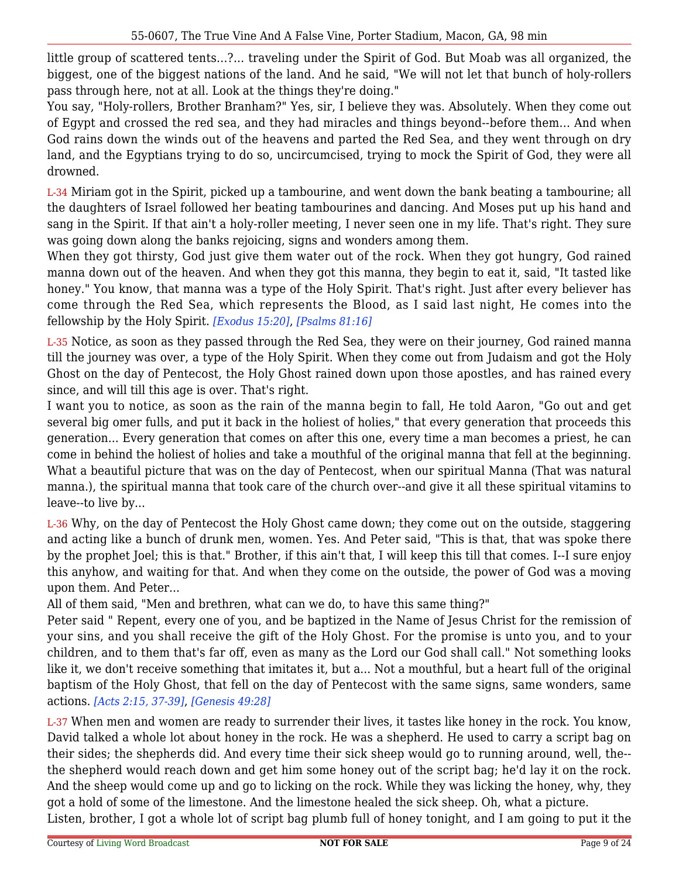little group of scattered tents...?... traveling under the Spirit of God. But Moab was all organized, the biggest, one of the biggest nations of the land. And he said, "We will not let that bunch of holy-rollers pass through here, not at all. Look at the things they're doing."

You say, "Holy-rollers, Brother Branham?" Yes, sir, I believe they was. Absolutely. When they come out of Egypt and crossed the red sea, and they had miracles and things beyond--before them... And when God rains down the winds out of the heavens and parted the Red Sea, and they went through on dry land, and the Egyptians trying to do so, uncircumcised, trying to mock the Spirit of God, they were all drowned.

L-34 Miriam got in the Spirit, picked up a tambourine, and went down the bank beating a tambourine; all the daughters of Israel followed her beating tambourines and dancing. And Moses put up his hand and sang in the Spirit. If that ain't a holy-roller meeting, I never seen one in my life. That's right. They sure was going down along the banks rejoicing, signs and wonders among them.

When they got thirsty, God just give them water out of the rock. When they got hungry, God rained manna down out of the heaven. And when they got this manna, they begin to eat it, said, "It tasted like honey." You know, that manna was a type of the Holy Spirit. That's right. Just after every believer has come through the Red Sea, which represents the Blood, as I said last night, He comes into the fellowship by the Holy Spirit. *[Exodus 15:20]*, *[Psalms 81:16]*

L-35 Notice, as soon as they passed through the Red Sea, they were on their journey, God rained manna till the journey was over, a type of the Holy Spirit. When they come out from Judaism and got the Holy Ghost on the day of Pentecost, the Holy Ghost rained down upon those apostles, and has rained every since, and will till this age is over. That's right.

I want you to notice, as soon as the rain of the manna begin to fall, He told Aaron, "Go out and get several big omer fulls, and put it back in the holiest of holies," that every generation that proceeds this generation... Every generation that comes on after this one, every time a man becomes a priest, he can come in behind the holiest of holies and take a mouthful of the original manna that fell at the beginning. What a beautiful picture that was on the day of Pentecost, when our spiritual Manna (That was natural manna.), the spiritual manna that took care of the church over--and give it all these spiritual vitamins to leave--to live by...

L-36 Why, on the day of Pentecost the Holy Ghost came down; they come out on the outside, staggering and acting like a bunch of drunk men, women. Yes. And Peter said, "This is that, that was spoke there by the prophet Joel; this is that." Brother, if this ain't that, I will keep this till that comes. I--I sure enjoy this anyhow, and waiting for that. And when they come on the outside, the power of God was a moving upon them. And Peter...

All of them said, "Men and brethren, what can we do, to have this same thing?"

Peter said " Repent, every one of you, and be baptized in the Name of Jesus Christ for the remission of your sins, and you shall receive the gift of the Holy Ghost. For the promise is unto you, and to your children, and to them that's far off, even as many as the Lord our God shall call." Not something looks like it, we don't receive something that imitates it, but a... Not a mouthful, but a heart full of the original baptism of the Holy Ghost, that fell on the day of Pentecost with the same signs, same wonders, same actions. *[Acts 2:15, 37-39]*, *[Genesis 49:28]*

L-37 When men and women are ready to surrender their lives, it tastes like honey in the rock. You know, David talked a whole lot about honey in the rock. He was a shepherd. He used to carry a script bag on their sides; the shepherds did. And every time their sick sheep would go to running around, well, the- the shepherd would reach down and get him some honey out of the script bag; he'd lay it on the rock. And the sheep would come up and go to licking on the rock. While they was licking the honey, why, they got a hold of some of the limestone. And the limestone healed the sick sheep. Oh, what a picture.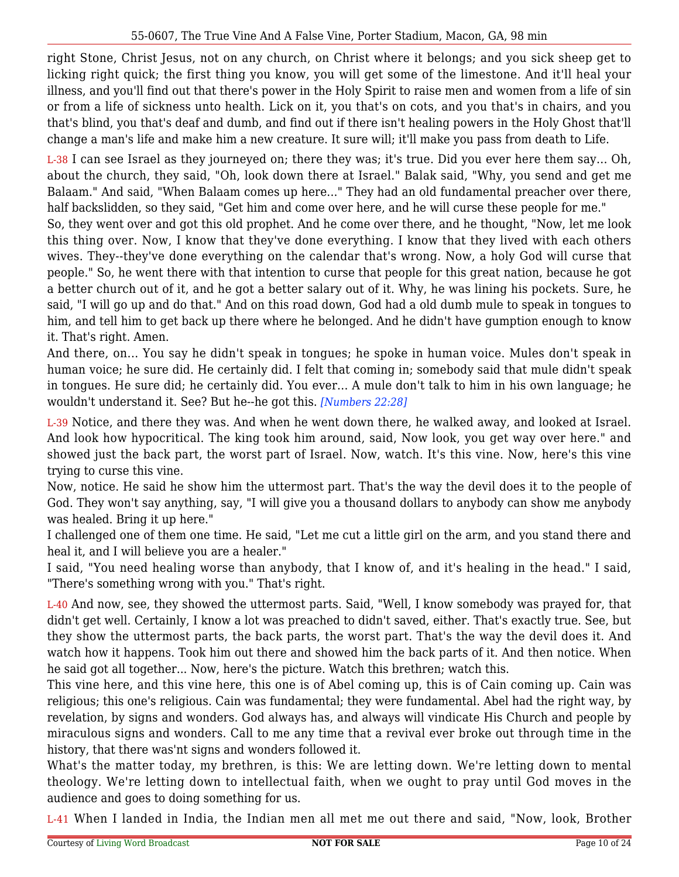right Stone, Christ Jesus, not on any church, on Christ where it belongs; and you sick sheep get to licking right quick; the first thing you know, you will get some of the limestone. And it'll heal your illness, and you'll find out that there's power in the Holy Spirit to raise men and women from a life of sin or from a life of sickness unto health. Lick on it, you that's on cots, and you that's in chairs, and you that's blind, you that's deaf and dumb, and find out if there isn't healing powers in the Holy Ghost that'll change a man's life and make him a new creature. It sure will; it'll make you pass from death to Life.

L-38 I can see Israel as they journeyed on; there they was; it's true. Did you ever here them say... Oh, about the church, they said, "Oh, look down there at Israel." Balak said, "Why, you send and get me Balaam." And said, "When Balaam comes up here..." They had an old fundamental preacher over there, half backslidden, so they said, "Get him and come over here, and he will curse these people for me."

So, they went over and got this old prophet. And he come over there, and he thought, "Now, let me look this thing over. Now, I know that they've done everything. I know that they lived with each others wives. They--they've done everything on the calendar that's wrong. Now, a holy God will curse that people." So, he went there with that intention to curse that people for this great nation, because he got a better church out of it, and he got a better salary out of it. Why, he was lining his pockets. Sure, he said, "I will go up and do that." And on this road down, God had a old dumb mule to speak in tongues to him, and tell him to get back up there where he belonged. And he didn't have gumption enough to know it. That's right. Amen.

And there, on... You say he didn't speak in tongues; he spoke in human voice. Mules don't speak in human voice; he sure did. He certainly did. I felt that coming in; somebody said that mule didn't speak in tongues. He sure did; he certainly did. You ever... A mule don't talk to him in his own language; he wouldn't understand it. See? But he--he got this. *[Numbers 22:28]*

L-39 Notice, and there they was. And when he went down there, he walked away, and looked at Israel. And look how hypocritical. The king took him around, said, Now look, you get way over here." and showed just the back part, the worst part of Israel. Now, watch. It's this vine. Now, here's this vine trying to curse this vine.

Now, notice. He said he show him the uttermost part. That's the way the devil does it to the people of God. They won't say anything, say, "I will give you a thousand dollars to anybody can show me anybody was healed. Bring it up here."

I challenged one of them one time. He said, "Let me cut a little girl on the arm, and you stand there and heal it, and I will believe you are a healer."

I said, "You need healing worse than anybody, that I know of, and it's healing in the head." I said, "There's something wrong with you." That's right.

L-40 And now, see, they showed the uttermost parts. Said, "Well, I know somebody was prayed for, that didn't get well. Certainly, I know a lot was preached to didn't saved, either. That's exactly true. See, but they show the uttermost parts, the back parts, the worst part. That's the way the devil does it. And watch how it happens. Took him out there and showed him the back parts of it. And then notice. When he said got all together... Now, here's the picture. Watch this brethren; watch this.

This vine here, and this vine here, this one is of Abel coming up, this is of Cain coming up. Cain was religious; this one's religious. Cain was fundamental; they were fundamental. Abel had the right way, by revelation, by signs and wonders. God always has, and always will vindicate His Church and people by miraculous signs and wonders. Call to me any time that a revival ever broke out through time in the history, that there was'nt signs and wonders followed it.

What's the matter today, my brethren, is this: We are letting down. We're letting down to mental theology. We're letting down to intellectual faith, when we ought to pray until God moves in the audience and goes to doing something for us.

L-41 When I landed in India, the Indian men all met me out there and said, "Now, look, Brother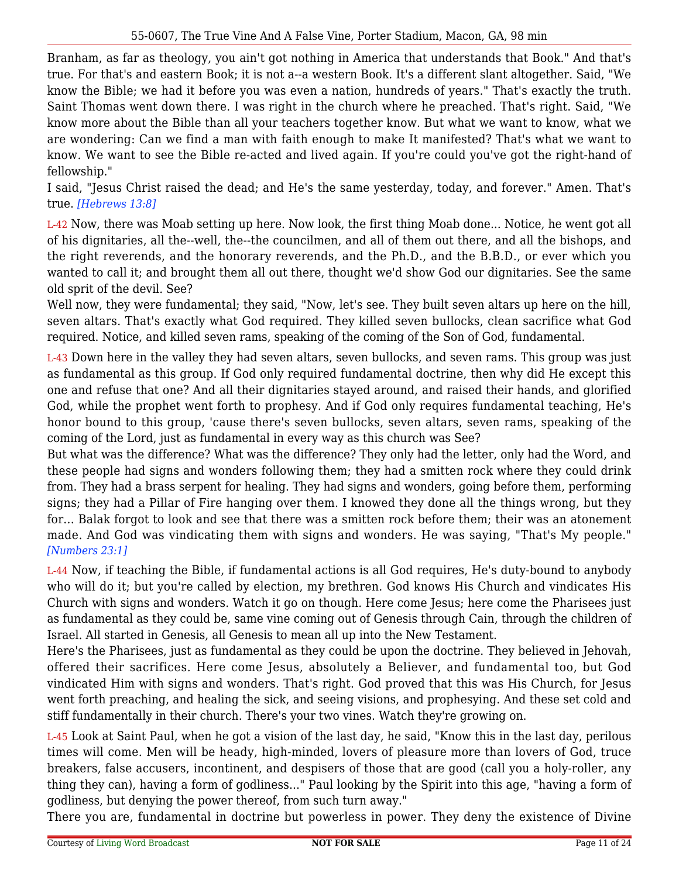Branham, as far as theology, you ain't got nothing in America that understands that Book." And that's true. For that's and eastern Book; it is not a--a western Book. It's a different slant altogether. Said, "We know the Bible; we had it before you was even a nation, hundreds of years." That's exactly the truth. Saint Thomas went down there. I was right in the church where he preached. That's right. Said, "We know more about the Bible than all your teachers together know. But what we want to know, what we are wondering: Can we find a man with faith enough to make It manifested? That's what we want to know. We want to see the Bible re-acted and lived again. If you're could you've got the right-hand of fellowship."

I said, "Jesus Christ raised the dead; and He's the same yesterday, today, and forever." Amen. That's true. *[Hebrews 13:8]*

L-42 Now, there was Moab setting up here. Now look, the first thing Moab done... Notice, he went got all of his dignitaries, all the--well, the--the councilmen, and all of them out there, and all the bishops, and the right reverends, and the honorary reverends, and the Ph.D., and the B.B.D., or ever which you wanted to call it; and brought them all out there, thought we'd show God our dignitaries. See the same old sprit of the devil. See?

Well now, they were fundamental; they said, "Now, let's see. They built seven altars up here on the hill, seven altars. That's exactly what God required. They killed seven bullocks, clean sacrifice what God required. Notice, and killed seven rams, speaking of the coming of the Son of God, fundamental.

L-43 Down here in the valley they had seven altars, seven bullocks, and seven rams. This group was just as fundamental as this group. If God only required fundamental doctrine, then why did He except this one and refuse that one? And all their dignitaries stayed around, and raised their hands, and glorified God, while the prophet went forth to prophesy. And if God only requires fundamental teaching, He's honor bound to this group, 'cause there's seven bullocks, seven altars, seven rams, speaking of the coming of the Lord, just as fundamental in every way as this church was See?

But what was the difference? What was the difference? They only had the letter, only had the Word, and these people had signs and wonders following them; they had a smitten rock where they could drink from. They had a brass serpent for healing. They had signs and wonders, going before them, performing signs; they had a Pillar of Fire hanging over them. I knowed they done all the things wrong, but they for... Balak forgot to look and see that there was a smitten rock before them; their was an atonement made. And God was vindicating them with signs and wonders. He was saying, "That's My people." *[Numbers 23:1]*

L-44 Now, if teaching the Bible, if fundamental actions is all God requires, He's duty-bound to anybody who will do it; but you're called by election, my brethren. God knows His Church and vindicates His Church with signs and wonders. Watch it go on though. Here come Jesus; here come the Pharisees just as fundamental as they could be, same vine coming out of Genesis through Cain, through the children of Israel. All started in Genesis, all Genesis to mean all up into the New Testament.

Here's the Pharisees, just as fundamental as they could be upon the doctrine. They believed in Jehovah, offered their sacrifices. Here come Jesus, absolutely a Believer, and fundamental too, but God vindicated Him with signs and wonders. That's right. God proved that this was His Church, for Jesus went forth preaching, and healing the sick, and seeing visions, and prophesying. And these set cold and stiff fundamentally in their church. There's your two vines. Watch they're growing on.

L-45 Look at Saint Paul, when he got a vision of the last day, he said, "Know this in the last day, perilous times will come. Men will be heady, high-minded, lovers of pleasure more than lovers of God, truce breakers, false accusers, incontinent, and despisers of those that are good (call you a holy-roller, any thing they can), having a form of godliness..." Paul looking by the Spirit into this age, "having a form of godliness, but denying the power thereof, from such turn away."

There you are, fundamental in doctrine but powerless in power. They deny the existence of Divine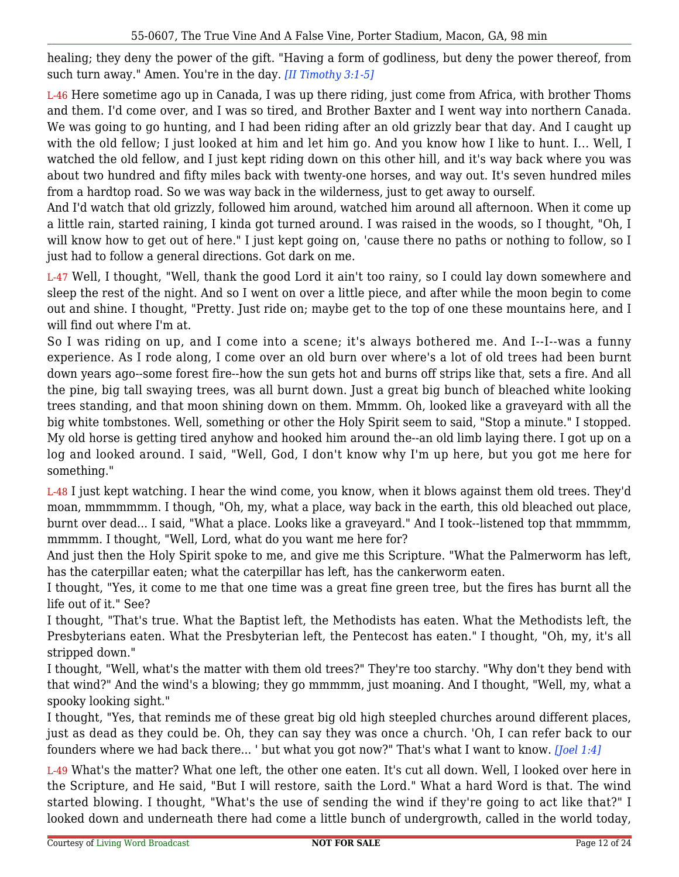healing; they deny the power of the gift. "Having a form of godliness, but deny the power thereof, from such turn away." Amen. You're in the day. *[II Timothy 3:1-5]*

L-46 Here sometime ago up in Canada, I was up there riding, just come from Africa, with brother Thoms and them. I'd come over, and I was so tired, and Brother Baxter and I went way into northern Canada. We was going to go hunting, and I had been riding after an old grizzly bear that day. And I caught up with the old fellow; I just looked at him and let him go. And you know how I like to hunt. I... Well, I watched the old fellow, and I just kept riding down on this other hill, and it's way back where you was about two hundred and fifty miles back with twenty-one horses, and way out. It's seven hundred miles from a hardtop road. So we was way back in the wilderness, just to get away to ourself.

And I'd watch that old grizzly, followed him around, watched him around all afternoon. When it come up a little rain, started raining, I kinda got turned around. I was raised in the woods, so I thought, "Oh, I will know how to get out of here." I just kept going on, 'cause there no paths or nothing to follow, so I just had to follow a general directions. Got dark on me.

L-47 Well, I thought, "Well, thank the good Lord it ain't too rainy, so I could lay down somewhere and sleep the rest of the night. And so I went on over a little piece, and after while the moon begin to come out and shine. I thought, "Pretty. Just ride on; maybe get to the top of one these mountains here, and I will find out where I'm at.

So I was riding on up, and I come into a scene; it's always bothered me. And I--I--was a funny experience. As I rode along, I come over an old burn over where's a lot of old trees had been burnt down years ago--some forest fire--how the sun gets hot and burns off strips like that, sets a fire. And all the pine, big tall swaying trees, was all burnt down. Just a great big bunch of bleached white looking trees standing, and that moon shining down on them. Mmmm. Oh, looked like a graveyard with all the big white tombstones. Well, something or other the Holy Spirit seem to said, "Stop a minute." I stopped. My old horse is getting tired anyhow and hooked him around the--an old limb laying there. I got up on a log and looked around. I said, "Well, God, I don't know why I'm up here, but you got me here for something."

L-48 I just kept watching. I hear the wind come, you know, when it blows against them old trees. They'd moan, mmmmmmm. I though, "Oh, my, what a place, way back in the earth, this old bleached out place, burnt over dead... I said, "What a place. Looks like a graveyard." And I took--listened top that mmmmm, mmmmm. I thought, "Well, Lord, what do you want me here for?

And just then the Holy Spirit spoke to me, and give me this Scripture. "What the Palmerworm has left, has the caterpillar eaten; what the caterpillar has left, has the cankerworm eaten.

I thought, "Yes, it come to me that one time was a great fine green tree, but the fires has burnt all the life out of it." See?

I thought, "That's true. What the Baptist left, the Methodists has eaten. What the Methodists left, the Presbyterians eaten. What the Presbyterian left, the Pentecost has eaten." I thought, "Oh, my, it's all stripped down."

I thought, "Well, what's the matter with them old trees?" They're too starchy. "Why don't they bend with that wind?" And the wind's a blowing; they go mmmmm, just moaning. And I thought, "Well, my, what a spooky looking sight."

I thought, "Yes, that reminds me of these great big old high steepled churches around different places, just as dead as they could be. Oh, they can say they was once a church. 'Oh, I can refer back to our founders where we had back there... ' but what you got now?" That's what I want to know. *[Joel 1:4]*

L-49 What's the matter? What one left, the other one eaten. It's cut all down. Well, I looked over here in the Scripture, and He said, "But I will restore, saith the Lord." What a hard Word is that. The wind started blowing. I thought, "What's the use of sending the wind if they're going to act like that?" I looked down and underneath there had come a little bunch of undergrowth, called in the world today,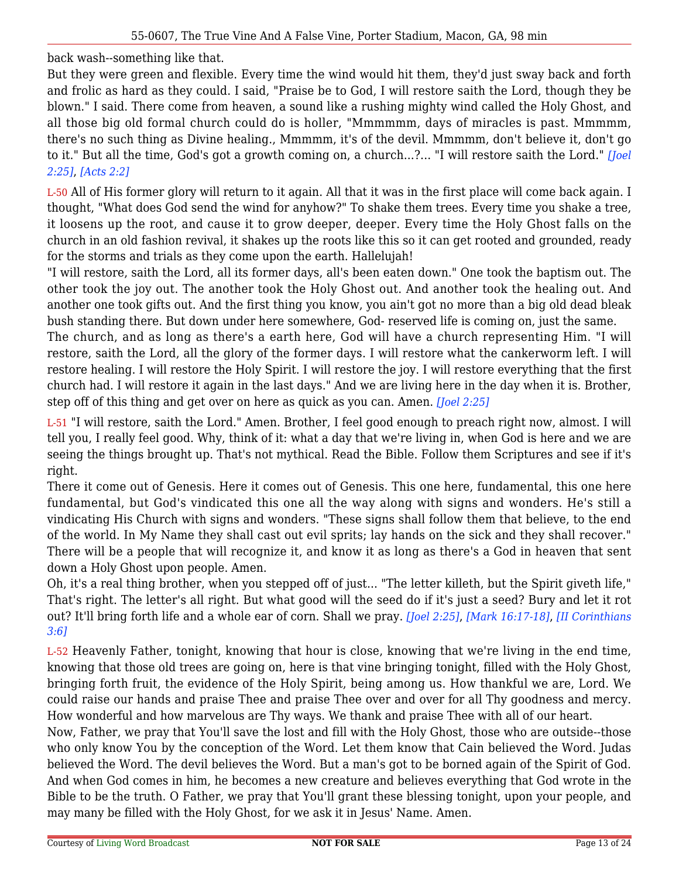back wash--something like that.

But they were green and flexible. Every time the wind would hit them, they'd just sway back and forth and frolic as hard as they could. I said, "Praise be to God, I will restore saith the Lord, though they be blown." I said. There come from heaven, a sound like a rushing mighty wind called the Holy Ghost, and all those big old formal church could do is holler, "Mmmmmm, days of miracles is past. Mmmmm, there's no such thing as Divine healing., Mmmmm, it's of the devil. Mmmmm, don't believe it, don't go to it." But all the time, God's got a growth coming on, a church...?... "I will restore saith the Lord." *[Joel 2:25]*, *[Acts 2:2]*

L-50 All of His former glory will return to it again. All that it was in the first place will come back again. I thought, "What does God send the wind for anyhow?" To shake them trees. Every time you shake a tree, it loosens up the root, and cause it to grow deeper, deeper. Every time the Holy Ghost falls on the church in an old fashion revival, it shakes up the roots like this so it can get rooted and grounded, ready for the storms and trials as they come upon the earth. Hallelujah!

"I will restore, saith the Lord, all its former days, all's been eaten down." One took the baptism out. The other took the joy out. The another took the Holy Ghost out. And another took the healing out. And another one took gifts out. And the first thing you know, you ain't got no more than a big old dead bleak bush standing there. But down under here somewhere, God- reserved life is coming on, just the same.

The church, and as long as there's a earth here, God will have a church representing Him. "I will restore, saith the Lord, all the glory of the former days. I will restore what the cankerworm left. I will restore healing. I will restore the Holy Spirit. I will restore the joy. I will restore everything that the first church had. I will restore it again in the last days." And we are living here in the day when it is. Brother, step off of this thing and get over on here as quick as you can. Amen. *[Joel 2:25]*

L-51 "I will restore, saith the Lord." Amen. Brother, I feel good enough to preach right now, almost. I will tell you, I really feel good. Why, think of it: what a day that we're living in, when God is here and we are seeing the things brought up. That's not mythical. Read the Bible. Follow them Scriptures and see if it's right.

There it come out of Genesis. Here it comes out of Genesis. This one here, fundamental, this one here fundamental, but God's vindicated this one all the way along with signs and wonders. He's still a vindicating His Church with signs and wonders. "These signs shall follow them that believe, to the end of the world. In My Name they shall cast out evil sprits; lay hands on the sick and they shall recover." There will be a people that will recognize it, and know it as long as there's a God in heaven that sent down a Holy Ghost upon people. Amen.

Oh, it's a real thing brother, when you stepped off of just... "The letter killeth, but the Spirit giveth life," That's right. The letter's all right. But what good will the seed do if it's just a seed? Bury and let it rot out? It'll bring forth life and a whole ear of corn. Shall we pray. *[Joel 2:25]*, *[Mark 16:17-18]*, *[II Corinthians 3:6]*

L-52 Heavenly Father, tonight, knowing that hour is close, knowing that we're living in the end time, knowing that those old trees are going on, here is that vine bringing tonight, filled with the Holy Ghost, bringing forth fruit, the evidence of the Holy Spirit, being among us. How thankful we are, Lord. We could raise our hands and praise Thee and praise Thee over and over for all Thy goodness and mercy. How wonderful and how marvelous are Thy ways. We thank and praise Thee with all of our heart.

Now, Father, we pray that You'll save the lost and fill with the Holy Ghost, those who are outside--those who only know You by the conception of the Word. Let them know that Cain believed the Word. Judas believed the Word. The devil believes the Word. But a man's got to be borned again of the Spirit of God. And when God comes in him, he becomes a new creature and believes everything that God wrote in the Bible to be the truth. O Father, we pray that You'll grant these blessing tonight, upon your people, and may many be filled with the Holy Ghost, for we ask it in Jesus' Name. Amen.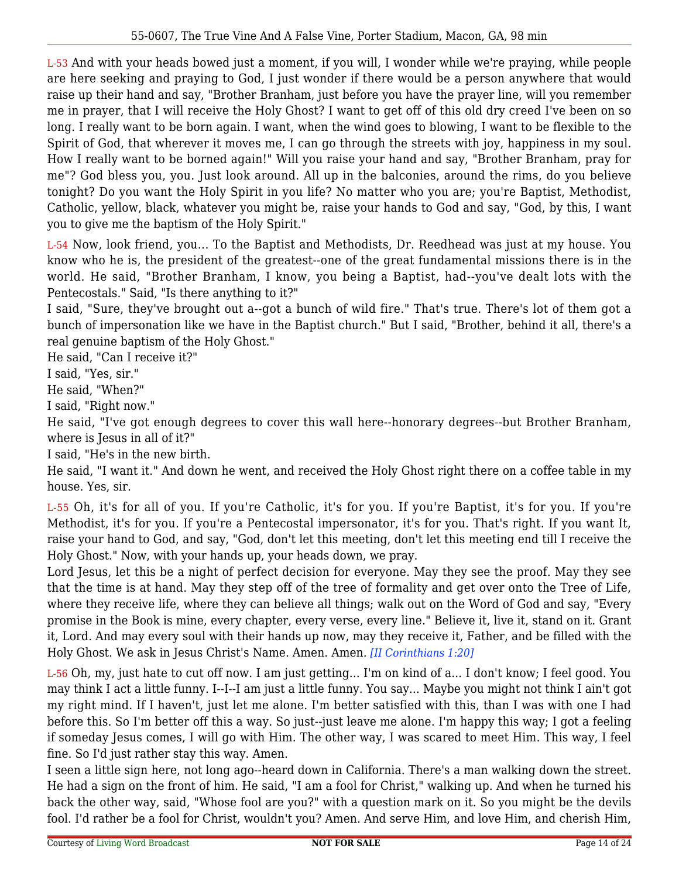L-53 And with your heads bowed just a moment, if you will, I wonder while we're praying, while people are here seeking and praying to God, I just wonder if there would be a person anywhere that would raise up their hand and say, "Brother Branham, just before you have the prayer line, will you remember me in prayer, that I will receive the Holy Ghost? I want to get off of this old dry creed I've been on so long. I really want to be born again. I want, when the wind goes to blowing, I want to be flexible to the Spirit of God, that wherever it moves me, I can go through the streets with joy, happiness in my soul. How I really want to be borned again!" Will you raise your hand and say, "Brother Branham, pray for me"? God bless you, you. Just look around. All up in the balconies, around the rims, do you believe tonight? Do you want the Holy Spirit in you life? No matter who you are; you're Baptist, Methodist, Catholic, yellow, black, whatever you might be, raise your hands to God and say, "God, by this, I want you to give me the baptism of the Holy Spirit."

L-54 Now, look friend, you... To the Baptist and Methodists, Dr. Reedhead was just at my house. You know who he is, the president of the greatest--one of the great fundamental missions there is in the world. He said, "Brother Branham, I know, you being a Baptist, had--you've dealt lots with the Pentecostals." Said, "Is there anything to it?"

I said, "Sure, they've brought out a--got a bunch of wild fire." That's true. There's lot of them got a bunch of impersonation like we have in the Baptist church." But I said, "Brother, behind it all, there's a real genuine baptism of the Holy Ghost."

He said, "Can I receive it?"

I said, "Yes, sir."

He said, "When?"

I said, "Right now."

He said, "I've got enough degrees to cover this wall here--honorary degrees--but Brother Branham, where is Jesus in all of it?"

I said, "He's in the new birth.

He said, "I want it." And down he went, and received the Holy Ghost right there on a coffee table in my house. Yes, sir.

L-55 Oh, it's for all of you. If you're Catholic, it's for you. If you're Baptist, it's for you. If you're Methodist, it's for you. If you're a Pentecostal impersonator, it's for you. That's right. If you want It, raise your hand to God, and say, "God, don't let this meeting, don't let this meeting end till I receive the Holy Ghost." Now, with your hands up, your heads down, we pray.

Lord Jesus, let this be a night of perfect decision for everyone. May they see the proof. May they see that the time is at hand. May they step off of the tree of formality and get over onto the Tree of Life, where they receive life, where they can believe all things; walk out on the Word of God and say, "Every promise in the Book is mine, every chapter, every verse, every line." Believe it, live it, stand on it. Grant it, Lord. And may every soul with their hands up now, may they receive it, Father, and be filled with the Holy Ghost. We ask in Jesus Christ's Name. Amen. Amen. *[II Corinthians 1:20]*

L-56 Oh, my, just hate to cut off now. I am just getting... I'm on kind of a... I don't know; I feel good. You may think I act a little funny. I--I--I am just a little funny. You say... Maybe you might not think I ain't got my right mind. If I haven't, just let me alone. I'm better satisfied with this, than I was with one I had before this. So I'm better off this a way. So just--just leave me alone. I'm happy this way; I got a feeling if someday Jesus comes, I will go with Him. The other way, I was scared to meet Him. This way, I feel fine. So I'd just rather stay this way. Amen.

I seen a little sign here, not long ago--heard down in California. There's a man walking down the street. He had a sign on the front of him. He said, "I am a fool for Christ," walking up. And when he turned his back the other way, said, "Whose fool are you?" with a question mark on it. So you might be the devils fool. I'd rather be a fool for Christ, wouldn't you? Amen. And serve Him, and love Him, and cherish Him,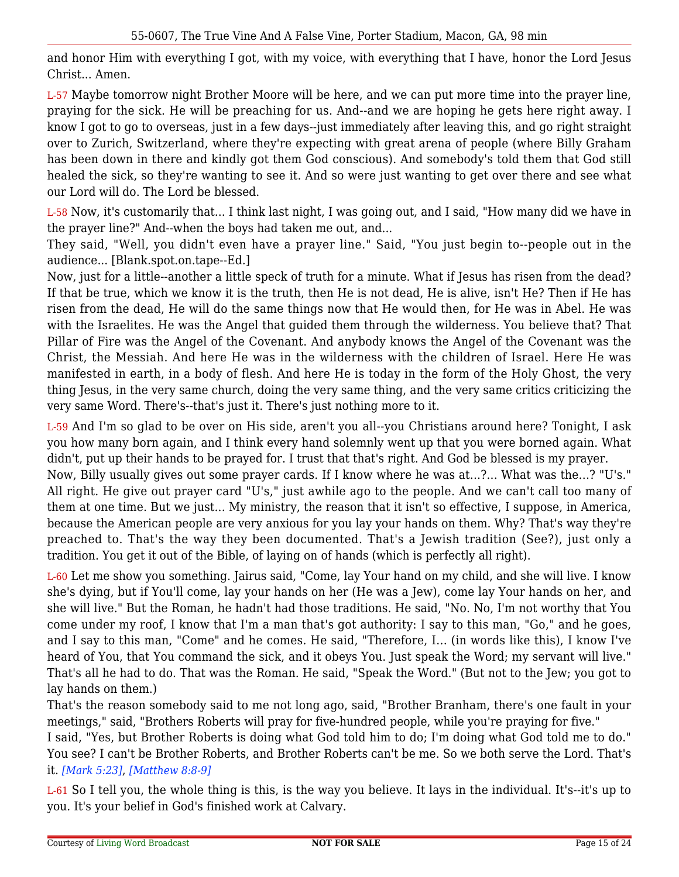and honor Him with everything I got, with my voice, with everything that I have, honor the Lord Jesus Christ... Amen.

L-57 Maybe tomorrow night Brother Moore will be here, and we can put more time into the prayer line, praying for the sick. He will be preaching for us. And--and we are hoping he gets here right away. I know I got to go to overseas, just in a few days--just immediately after leaving this, and go right straight over to Zurich, Switzerland, where they're expecting with great arena of people (where Billy Graham has been down in there and kindly got them God conscious). And somebody's told them that God still healed the sick, so they're wanting to see it. And so were just wanting to get over there and see what our Lord will do. The Lord be blessed.

L-58 Now, it's customarily that... I think last night, I was going out, and I said, "How many did we have in the prayer line?" And--when the boys had taken me out, and...

They said, "Well, you didn't even have a prayer line." Said, "You just begin to--people out in the audience... [Blank.spot.on.tape--Ed.]

Now, just for a little--another a little speck of truth for a minute. What if Jesus has risen from the dead? If that be true, which we know it is the truth, then He is not dead, He is alive, isn't He? Then if He has risen from the dead, He will do the same things now that He would then, for He was in Abel. He was with the Israelites. He was the Angel that guided them through the wilderness. You believe that? That Pillar of Fire was the Angel of the Covenant. And anybody knows the Angel of the Covenant was the Christ, the Messiah. And here He was in the wilderness with the children of Israel. Here He was manifested in earth, in a body of flesh. And here He is today in the form of the Holy Ghost, the very thing Jesus, in the very same church, doing the very same thing, and the very same critics criticizing the very same Word. There's--that's just it. There's just nothing more to it.

L-59 And I'm so glad to be over on His side, aren't you all--you Christians around here? Tonight, I ask you how many born again, and I think every hand solemnly went up that you were borned again. What didn't, put up their hands to be prayed for. I trust that that's right. And God be blessed is my prayer.

Now, Billy usually gives out some prayer cards. If I know where he was at...?... What was the...? "U's." All right. He give out prayer card "U's," just awhile ago to the people. And we can't call too many of them at one time. But we just... My ministry, the reason that it isn't so effective, I suppose, in America, because the American people are very anxious for you lay your hands on them. Why? That's way they're preached to. That's the way they been documented. That's a Jewish tradition (See?), just only a tradition. You get it out of the Bible, of laying on of hands (which is perfectly all right).

L-60 Let me show you something. Jairus said, "Come, lay Your hand on my child, and she will live. I know she's dying, but if You'll come, lay your hands on her (He was a Jew), come lay Your hands on her, and she will live." But the Roman, he hadn't had those traditions. He said, "No. No, I'm not worthy that You come under my roof, I know that I'm a man that's got authority: I say to this man, "Go," and he goes, and I say to this man, "Come" and he comes. He said, "Therefore, I... (in words like this), I know I've heard of You, that You command the sick, and it obeys You. Just speak the Word; my servant will live." That's all he had to do. That was the Roman. He said, "Speak the Word." (But not to the Jew; you got to lay hands on them.)

That's the reason somebody said to me not long ago, said, "Brother Branham, there's one fault in your meetings," said, "Brothers Roberts will pray for five-hundred people, while you're praying for five."

I said, "Yes, but Brother Roberts is doing what God told him to do; I'm doing what God told me to do." You see? I can't be Brother Roberts, and Brother Roberts can't be me. So we both serve the Lord. That's it. *[Mark 5:23]*, *[Matthew 8:8-9]*

L-61 So I tell you, the whole thing is this, is the way you believe. It lays in the individual. It's--it's up to you. It's your belief in God's finished work at Calvary.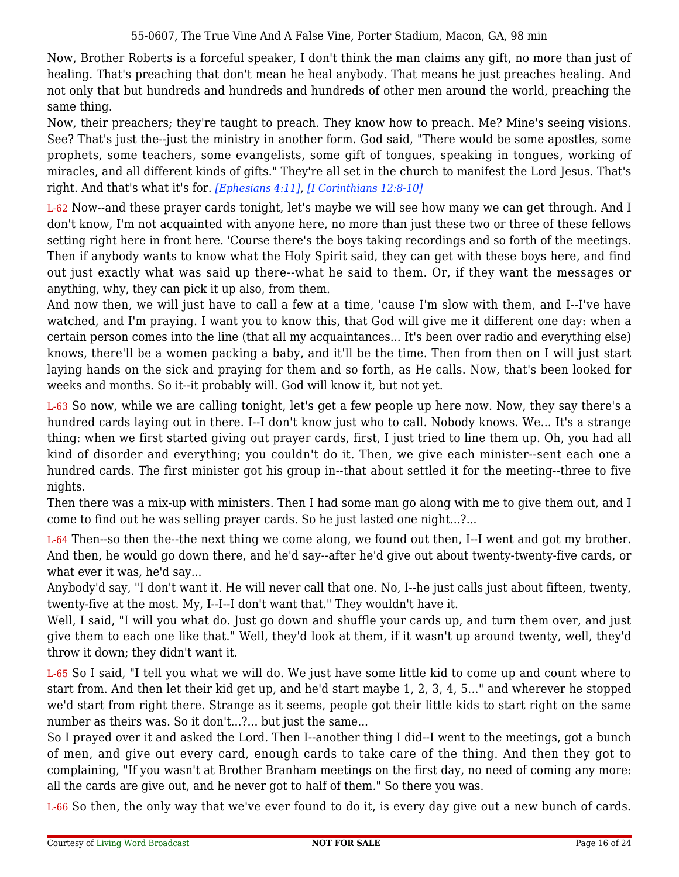Now, Brother Roberts is a forceful speaker, I don't think the man claims any gift, no more than just of healing. That's preaching that don't mean he heal anybody. That means he just preaches healing. And not only that but hundreds and hundreds and hundreds of other men around the world, preaching the same thing.

Now, their preachers; they're taught to preach. They know how to preach. Me? Mine's seeing visions. See? That's just the--just the ministry in another form. God said, "There would be some apostles, some prophets, some teachers, some evangelists, some gift of tongues, speaking in tongues, working of miracles, and all different kinds of gifts." They're all set in the church to manifest the Lord Jesus. That's right. And that's what it's for. *[Ephesians 4:11]*, *[I Corinthians 12:8-10]*

L-62 Now--and these prayer cards tonight, let's maybe we will see how many we can get through. And I don't know, I'm not acquainted with anyone here, no more than just these two or three of these fellows setting right here in front here. 'Course there's the boys taking recordings and so forth of the meetings. Then if anybody wants to know what the Holy Spirit said, they can get with these boys here, and find out just exactly what was said up there--what he said to them. Or, if they want the messages or anything, why, they can pick it up also, from them.

And now then, we will just have to call a few at a time, 'cause I'm slow with them, and I--I've have watched, and I'm praying. I want you to know this, that God will give me it different one day: when a certain person comes into the line (that all my acquaintances... It's been over radio and everything else) knows, there'll be a women packing a baby, and it'll be the time. Then from then on I will just start laying hands on the sick and praying for them and so forth, as He calls. Now, that's been looked for weeks and months. So it--it probably will. God will know it, but not yet.

L-63 So now, while we are calling tonight, let's get a few people up here now. Now, they say there's a hundred cards laying out in there. I--I don't know just who to call. Nobody knows. We... It's a strange thing: when we first started giving out prayer cards, first, I just tried to line them up. Oh, you had all kind of disorder and everything; you couldn't do it. Then, we give each minister--sent each one a hundred cards. The first minister got his group in--that about settled it for the meeting--three to five nights.

Then there was a mix-up with ministers. Then I had some man go along with me to give them out, and I come to find out he was selling prayer cards. So he just lasted one night...?...

L-64 Then--so then the--the next thing we come along, we found out then, I--I went and got my brother. And then, he would go down there, and he'd say--after he'd give out about twenty-twenty-five cards, or what ever it was, he'd say...

Anybody'd say, "I don't want it. He will never call that one. No, I--he just calls just about fifteen, twenty, twenty-five at the most. My, I--I--I don't want that." They wouldn't have it.

Well, I said, "I will you what do. Just go down and shuffle your cards up, and turn them over, and just give them to each one like that." Well, they'd look at them, if it wasn't up around twenty, well, they'd throw it down; they didn't want it.

L-65 So I said, "I tell you what we will do. We just have some little kid to come up and count where to start from. And then let their kid get up, and he'd start maybe 1, 2, 3, 4, 5..." and wherever he stopped we'd start from right there. Strange as it seems, people got their little kids to start right on the same number as theirs was. So it don't...?... but just the same...

So I prayed over it and asked the Lord. Then I--another thing I did--I went to the meetings, got a bunch of men, and give out every card, enough cards to take care of the thing. And then they got to complaining, "If you wasn't at Brother Branham meetings on the first day, no need of coming any more: all the cards are give out, and he never got to half of them." So there you was.

L-66 So then, the only way that we've ever found to do it, is every day give out a new bunch of cards.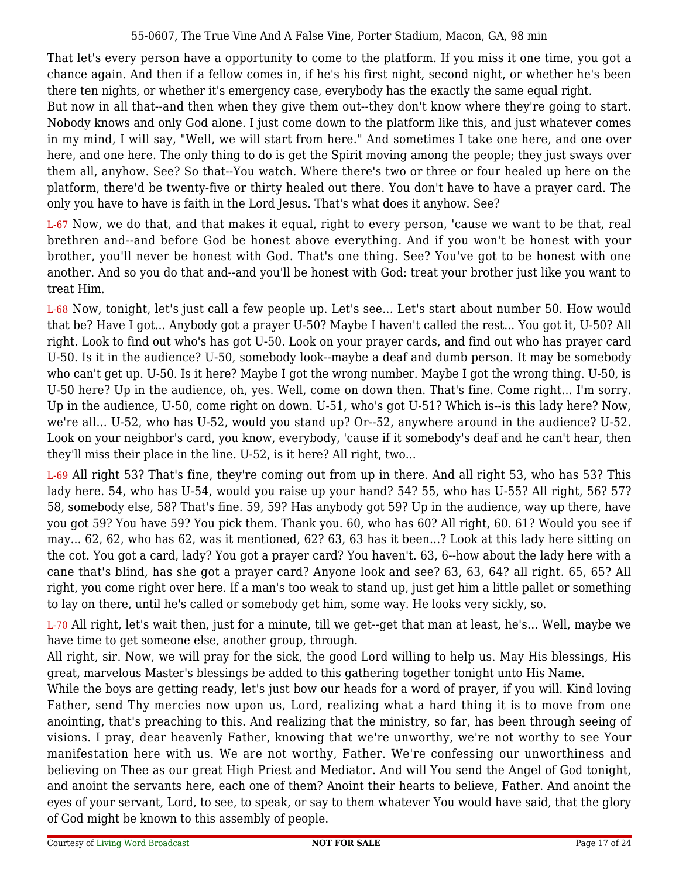That let's every person have a opportunity to come to the platform. If you miss it one time, you got a chance again. And then if a fellow comes in, if he's his first night, second night, or whether he's been there ten nights, or whether it's emergency case, everybody has the exactly the same equal right.

But now in all that--and then when they give them out--they don't know where they're going to start. Nobody knows and only God alone. I just come down to the platform like this, and just whatever comes in my mind, I will say, "Well, we will start from here." And sometimes I take one here, and one over here, and one here. The only thing to do is get the Spirit moving among the people; they just sways over them all, anyhow. See? So that--You watch. Where there's two or three or four healed up here on the platform, there'd be twenty-five or thirty healed out there. You don't have to have a prayer card. The only you have to have is faith in the Lord Jesus. That's what does it anyhow. See?

L-67 Now, we do that, and that makes it equal, right to every person, 'cause we want to be that, real brethren and--and before God be honest above everything. And if you won't be honest with your brother, you'll never be honest with God. That's one thing. See? You've got to be honest with one another. And so you do that and--and you'll be honest with God: treat your brother just like you want to treat Him.

L-68 Now, tonight, let's just call a few people up. Let's see... Let's start about number 50. How would that be? Have I got... Anybody got a prayer U-50? Maybe I haven't called the rest... You got it, U-50? All right. Look to find out who's has got U-50. Look on your prayer cards, and find out who has prayer card U-50. Is it in the audience? U-50, somebody look--maybe a deaf and dumb person. It may be somebody who can't get up. U-50. Is it here? Maybe I got the wrong number. Maybe I got the wrong thing. U-50, is U-50 here? Up in the audience, oh, yes. Well, come on down then. That's fine. Come right... I'm sorry. Up in the audience, U-50, come right on down. U-51, who's got U-51? Which is--is this lady here? Now, we're all... U-52, who has U-52, would you stand up? Or--52, anywhere around in the audience? U-52. Look on your neighbor's card, you know, everybody, 'cause if it somebody's deaf and he can't hear, then they'll miss their place in the line. U-52, is it here? All right, two...

L-69 All right 53? That's fine, they're coming out from up in there. And all right 53, who has 53? This lady here. 54, who has U-54, would you raise up your hand? 54? 55, who has U-55? All right, 56? 57? 58, somebody else, 58? That's fine. 59, 59? Has anybody got 59? Up in the audience, way up there, have you got 59? You have 59? You pick them. Thank you. 60, who has 60? All right, 60. 61? Would you see if may... 62, 62, who has 62, was it mentioned, 62? 63, 63 has it been...? Look at this lady here sitting on the cot. You got a card, lady? You got a prayer card? You haven't. 63, 6--how about the lady here with a cane that's blind, has she got a prayer card? Anyone look and see? 63, 63, 64? all right. 65, 65? All right, you come right over here. If a man's too weak to stand up, just get him a little pallet or something to lay on there, until he's called or somebody get him, some way. He looks very sickly, so.

L-70 All right, let's wait then, just for a minute, till we get--get that man at least, he's... Well, maybe we have time to get someone else, another group, through.

All right, sir. Now, we will pray for the sick, the good Lord willing to help us. May His blessings, His great, marvelous Master's blessings be added to this gathering together tonight unto His Name.

While the boys are getting ready, let's just bow our heads for a word of prayer, if you will. Kind loving Father, send Thy mercies now upon us, Lord, realizing what a hard thing it is to move from one anointing, that's preaching to this. And realizing that the ministry, so far, has been through seeing of visions. I pray, dear heavenly Father, knowing that we're unworthy, we're not worthy to see Your manifestation here with us. We are not worthy, Father. We're confessing our unworthiness and believing on Thee as our great High Priest and Mediator. And will You send the Angel of God tonight, and anoint the servants here, each one of them? Anoint their hearts to believe, Father. And anoint the eyes of your servant, Lord, to see, to speak, or say to them whatever You would have said, that the glory of God might be known to this assembly of people.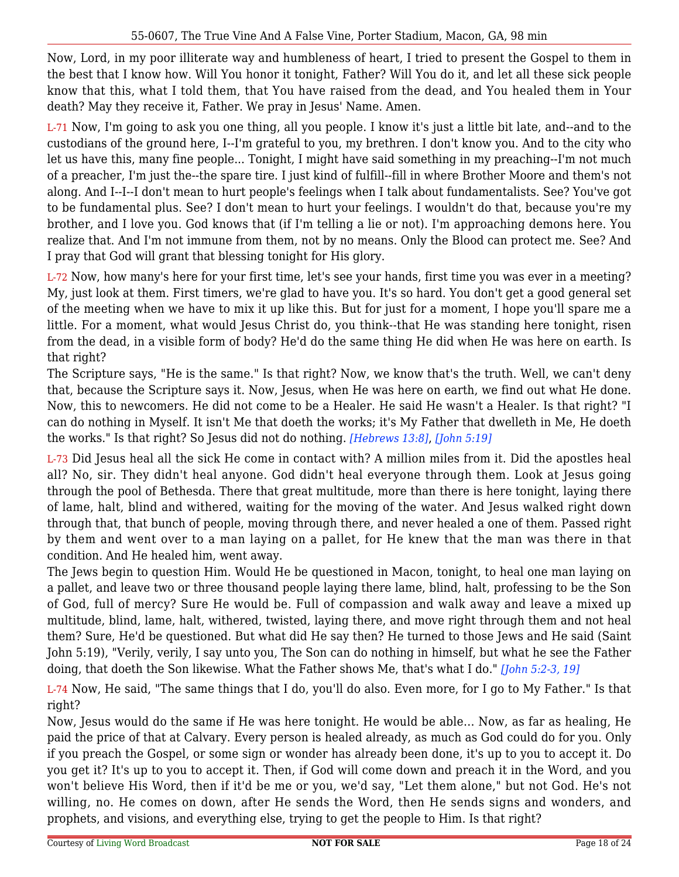Now, Lord, in my poor illiterate way and humbleness of heart, I tried to present the Gospel to them in the best that I know how. Will You honor it tonight, Father? Will You do it, and let all these sick people know that this, what I told them, that You have raised from the dead, and You healed them in Your death? May they receive it, Father. We pray in Jesus' Name. Amen.

L-71 Now, I'm going to ask you one thing, all you people. I know it's just a little bit late, and--and to the custodians of the ground here, I--I'm grateful to you, my brethren. I don't know you. And to the city who let us have this, many fine people... Tonight, I might have said something in my preaching--I'm not much of a preacher, I'm just the--the spare tire. I just kind of fulfill--fill in where Brother Moore and them's not along. And I--I--I don't mean to hurt people's feelings when I talk about fundamentalists. See? You've got to be fundamental plus. See? I don't mean to hurt your feelings. I wouldn't do that, because you're my brother, and I love you. God knows that (if I'm telling a lie or not). I'm approaching demons here. You realize that. And I'm not immune from them, not by no means. Only the Blood can protect me. See? And I pray that God will grant that blessing tonight for His glory.

L-72 Now, how many's here for your first time, let's see your hands, first time you was ever in a meeting? My, just look at them. First timers, we're glad to have you. It's so hard. You don't get a good general set of the meeting when we have to mix it up like this. But for just for a moment, I hope you'll spare me a little. For a moment, what would Jesus Christ do, you think--that He was standing here tonight, risen from the dead, in a visible form of body? He'd do the same thing He did when He was here on earth. Is that right?

The Scripture says, "He is the same." Is that right? Now, we know that's the truth. Well, we can't deny that, because the Scripture says it. Now, Jesus, when He was here on earth, we find out what He done. Now, this to newcomers. He did not come to be a Healer. He said He wasn't a Healer. Is that right? "I can do nothing in Myself. It isn't Me that doeth the works; it's My Father that dwelleth in Me, He doeth the works." Is that right? So Jesus did not do nothing. *[Hebrews 13:8]*, *[John 5:19]*

L-73 Did Jesus heal all the sick He come in contact with? A million miles from it. Did the apostles heal all? No, sir. They didn't heal anyone. God didn't heal everyone through them. Look at Jesus going through the pool of Bethesda. There that great multitude, more than there is here tonight, laying there of lame, halt, blind and withered, waiting for the moving of the water. And Jesus walked right down through that, that bunch of people, moving through there, and never healed a one of them. Passed right by them and went over to a man laying on a pallet, for He knew that the man was there in that condition. And He healed him, went away.

The Jews begin to question Him. Would He be questioned in Macon, tonight, to heal one man laying on a pallet, and leave two or three thousand people laying there lame, blind, halt, professing to be the Son of God, full of mercy? Sure He would be. Full of compassion and walk away and leave a mixed up multitude, blind, lame, halt, withered, twisted, laying there, and move right through them and not heal them? Sure, He'd be questioned. But what did He say then? He turned to those Jews and He said (Saint John 5:19), "Verily, verily, I say unto you, The Son can do nothing in himself, but what he see the Father doing, that doeth the Son likewise. What the Father shows Me, that's what I do." *[John 5:2-3, 19]*

L-74 Now, He said, "The same things that I do, you'll do also. Even more, for I go to My Father." Is that right?

Now, Jesus would do the same if He was here tonight. He would be able... Now, as far as healing, He paid the price of that at Calvary. Every person is healed already, as much as God could do for you. Only if you preach the Gospel, or some sign or wonder has already been done, it's up to you to accept it. Do you get it? It's up to you to accept it. Then, if God will come down and preach it in the Word, and you won't believe His Word, then if it'd be me or you, we'd say, "Let them alone," but not God. He's not willing, no. He comes on down, after He sends the Word, then He sends signs and wonders, and prophets, and visions, and everything else, trying to get the people to Him. Is that right?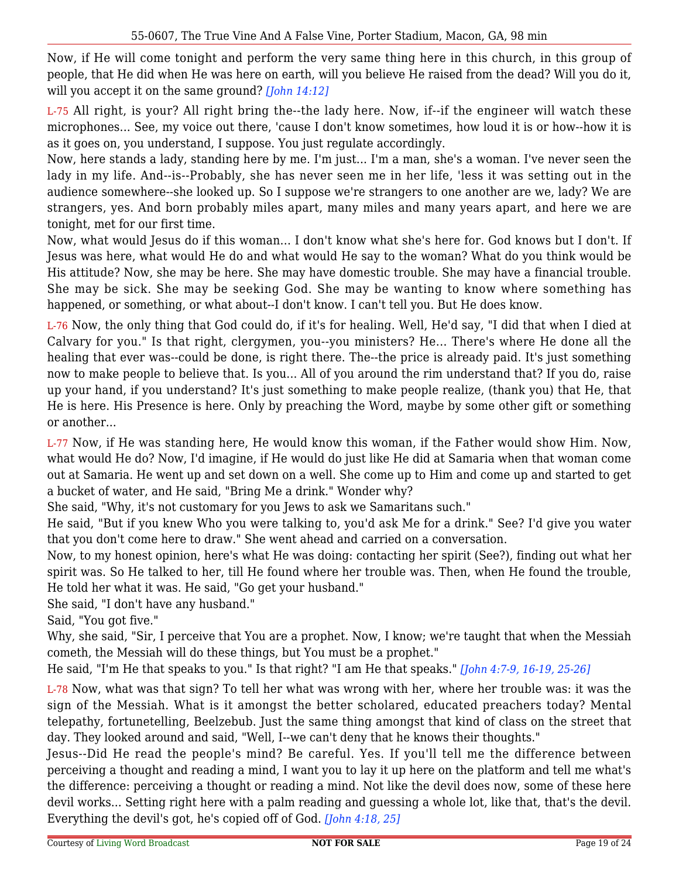Now, if He will come tonight and perform the very same thing here in this church, in this group of people, that He did when He was here on earth, will you believe He raised from the dead? Will you do it, will you accept it on the same ground? *[John 14:12]*

L-75 All right, is your? All right bring the--the lady here. Now, if--if the engineer will watch these microphones... See, my voice out there, 'cause I don't know sometimes, how loud it is or how--how it is as it goes on, you understand, I suppose. You just regulate accordingly.

Now, here stands a lady, standing here by me. I'm just... I'm a man, she's a woman. I've never seen the lady in my life. And--is--Probably, she has never seen me in her life, 'less it was setting out in the audience somewhere--she looked up. So I suppose we're strangers to one another are we, lady? We are strangers, yes. And born probably miles apart, many miles and many years apart, and here we are tonight, met for our first time.

Now, what would Jesus do if this woman... I don't know what she's here for. God knows but I don't. If Jesus was here, what would He do and what would He say to the woman? What do you think would be His attitude? Now, she may be here. She may have domestic trouble. She may have a financial trouble. She may be sick. She may be seeking God. She may be wanting to know where something has happened, or something, or what about--I don't know. I can't tell you. But He does know.

L-76 Now, the only thing that God could do, if it's for healing. Well, He'd say, "I did that when I died at Calvary for you." Is that right, clergymen, you--you ministers? He... There's where He done all the healing that ever was--could be done, is right there. The--the price is already paid. It's just something now to make people to believe that. Is you... All of you around the rim understand that? If you do, raise up your hand, if you understand? It's just something to make people realize, (thank you) that He, that He is here. His Presence is here. Only by preaching the Word, maybe by some other gift or something or another...

L-77 Now, if He was standing here, He would know this woman, if the Father would show Him. Now, what would He do? Now, I'd imagine, if He would do just like He did at Samaria when that woman come out at Samaria. He went up and set down on a well. She come up to Him and come up and started to get a bucket of water, and He said, "Bring Me a drink." Wonder why?

She said, "Why, it's not customary for you Jews to ask we Samaritans such."

He said, "But if you knew Who you were talking to, you'd ask Me for a drink." See? I'd give you water that you don't come here to draw." She went ahead and carried on a conversation.

Now, to my honest opinion, here's what He was doing: contacting her spirit (See?), finding out what her spirit was. So He talked to her, till He found where her trouble was. Then, when He found the trouble, He told her what it was. He said, "Go get your husband."

She said, "I don't have any husband."

Said, "You got five."

Why, she said, "Sir, I perceive that You are a prophet. Now, I know; we're taught that when the Messiah cometh, the Messiah will do these things, but You must be a prophet."

He said, "I'm He that speaks to you." Is that right? "I am He that speaks." *[John 4:7-9, 16-19, 25-26]*

L-78 Now, what was that sign? To tell her what was wrong with her, where her trouble was: it was the sign of the Messiah. What is it amongst the better scholared, educated preachers today? Mental telepathy, fortunetelling, Beelzebub. Just the same thing amongst that kind of class on the street that day. They looked around and said, "Well, I--we can't deny that he knows their thoughts."

Jesus--Did He read the people's mind? Be careful. Yes. If you'll tell me the difference between perceiving a thought and reading a mind, I want you to lay it up here on the platform and tell me what's the difference: perceiving a thought or reading a mind. Not like the devil does now, some of these here devil works... Setting right here with a palm reading and guessing a whole lot, like that, that's the devil. Everything the devil's got, he's copied off of God. *[John 4:18, 25]*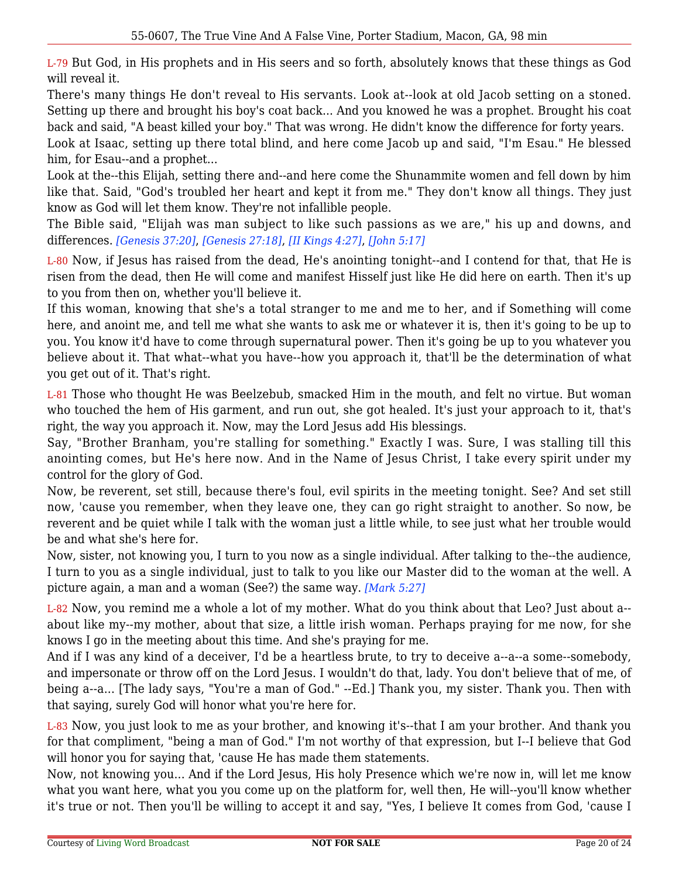L-79 But God, in His prophets and in His seers and so forth, absolutely knows that these things as God will reveal it.

There's many things He don't reveal to His servants. Look at--look at old Jacob setting on a stoned. Setting up there and brought his boy's coat back... And you knowed he was a prophet. Brought his coat back and said, "A beast killed your boy." That was wrong. He didn't know the difference for forty years.

Look at Isaac, setting up there total blind, and here come Jacob up and said, "I'm Esau." He blessed him, for Esau--and a prophet...

Look at the--this Elijah, setting there and--and here come the Shunammite women and fell down by him like that. Said, "God's troubled her heart and kept it from me." They don't know all things. They just know as God will let them know. They're not infallible people.

The Bible said, "Elijah was man subject to like such passions as we are," his up and downs, and differences. *[Genesis 37:20]*, *[Genesis 27:18]*, *[II Kings 4:27]*, *[John 5:17]*

L-80 Now, if Jesus has raised from the dead, He's anointing tonight--and I contend for that, that He is risen from the dead, then He will come and manifest Hisself just like He did here on earth. Then it's up to you from then on, whether you'll believe it.

If this woman, knowing that she's a total stranger to me and me to her, and if Something will come here, and anoint me, and tell me what she wants to ask me or whatever it is, then it's going to be up to you. You know it'd have to come through supernatural power. Then it's going be up to you whatever you believe about it. That what--what you have--how you approach it, that'll be the determination of what you get out of it. That's right.

L-81 Those who thought He was Beelzebub, smacked Him in the mouth, and felt no virtue. But woman who touched the hem of His garment, and run out, she got healed. It's just your approach to it, that's right, the way you approach it. Now, may the Lord Jesus add His blessings.

Say, "Brother Branham, you're stalling for something." Exactly I was. Sure, I was stalling till this anointing comes, but He's here now. And in the Name of Jesus Christ, I take every spirit under my control for the glory of God.

Now, be reverent, set still, because there's foul, evil spirits in the meeting tonight. See? And set still now, 'cause you remember, when they leave one, they can go right straight to another. So now, be reverent and be quiet while I talk with the woman just a little while, to see just what her trouble would be and what she's here for.

Now, sister, not knowing you, I turn to you now as a single individual. After talking to the--the audience, I turn to you as a single individual, just to talk to you like our Master did to the woman at the well. A picture again, a man and a woman (See?) the same way. *[Mark 5:27]*

L-82 Now, you remind me a whole a lot of my mother. What do you think about that Leo? Just about a- about like my--my mother, about that size, a little irish woman. Perhaps praying for me now, for she knows I go in the meeting about this time. And she's praying for me.

And if I was any kind of a deceiver, I'd be a heartless brute, to try to deceive a--a--a some--somebody, and impersonate or throw off on the Lord Jesus. I wouldn't do that, lady. You don't believe that of me, of being a--a... [The lady says, "You're a man of God." --Ed.] Thank you, my sister. Thank you. Then with that saying, surely God will honor what you're here for.

L-83 Now, you just look to me as your brother, and knowing it's--that I am your brother. And thank you for that compliment, "being a man of God." I'm not worthy of that expression, but I--I believe that God will honor you for saying that, 'cause He has made them statements.

Now, not knowing you... And if the Lord Jesus, His holy Presence which we're now in, will let me know what you want here, what you you come up on the platform for, well then, He will--you'll know whether it's true or not. Then you'll be willing to accept it and say, "Yes, I believe It comes from God, 'cause I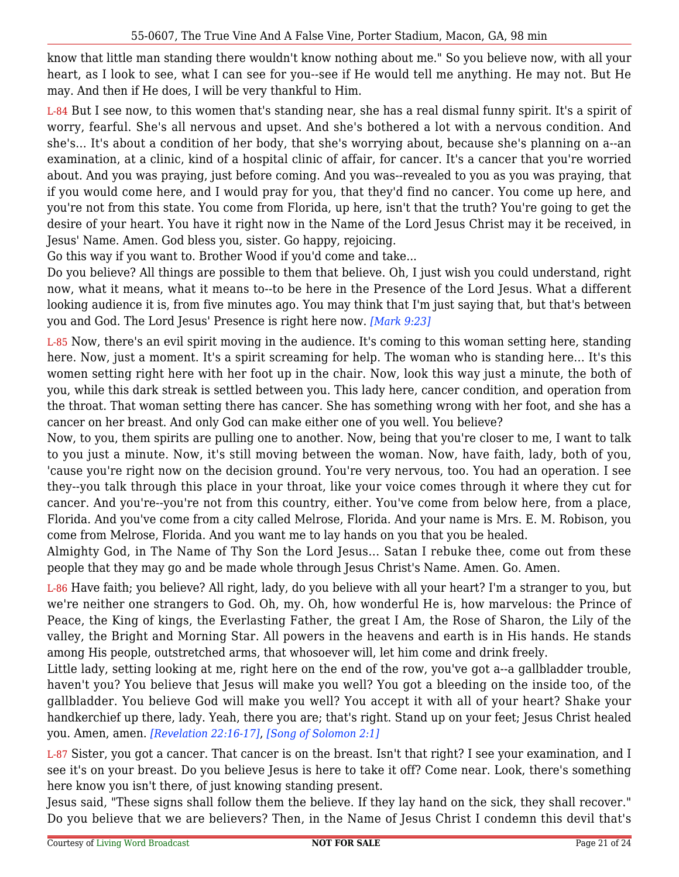know that little man standing there wouldn't know nothing about me." So you believe now, with all your heart, as I look to see, what I can see for you--see if He would tell me anything. He may not. But He may. And then if He does, I will be very thankful to Him.

L-84 But I see now, to this women that's standing near, she has a real dismal funny spirit. It's a spirit of worry, fearful. She's all nervous and upset. And she's bothered a lot with a nervous condition. And she's... It's about a condition of her body, that she's worrying about, because she's planning on a--an examination, at a clinic, kind of a hospital clinic of affair, for cancer. It's a cancer that you're worried about. And you was praying, just before coming. And you was--revealed to you as you was praying, that if you would come here, and I would pray for you, that they'd find no cancer. You come up here, and you're not from this state. You come from Florida, up here, isn't that the truth? You're going to get the desire of your heart. You have it right now in the Name of the Lord Jesus Christ may it be received, in Jesus' Name. Amen. God bless you, sister. Go happy, rejoicing.

Go this way if you want to. Brother Wood if you'd come and take...

Do you believe? All things are possible to them that believe. Oh, I just wish you could understand, right now, what it means, what it means to--to be here in the Presence of the Lord Jesus. What a different looking audience it is, from five minutes ago. You may think that I'm just saying that, but that's between you and God. The Lord Jesus' Presence is right here now. *[Mark 9:23]*

L-85 Now, there's an evil spirit moving in the audience. It's coming to this woman setting here, standing here. Now, just a moment. It's a spirit screaming for help. The woman who is standing here... It's this women setting right here with her foot up in the chair. Now, look this way just a minute, the both of you, while this dark streak is settled between you. This lady here, cancer condition, and operation from the throat. That woman setting there has cancer. She has something wrong with her foot, and she has a cancer on her breast. And only God can make either one of you well. You believe?

Now, to you, them spirits are pulling one to another. Now, being that you're closer to me, I want to talk to you just a minute. Now, it's still moving between the woman. Now, have faith, lady, both of you, 'cause you're right now on the decision ground. You're very nervous, too. You had an operation. I see they--you talk through this place in your throat, like your voice comes through it where they cut for cancer. And you're--you're not from this country, either. You've come from below here, from a place, Florida. And you've come from a city called Melrose, Florida. And your name is Mrs. E. M. Robison, you come from Melrose, Florida. And you want me to lay hands on you that you be healed.

Almighty God, in The Name of Thy Son the Lord Jesus... Satan I rebuke thee, come out from these people that they may go and be made whole through Jesus Christ's Name. Amen. Go. Amen.

L-86 Have faith; you believe? All right, lady, do you believe with all your heart? I'm a stranger to you, but we're neither one strangers to God. Oh, my. Oh, how wonderful He is, how marvelous: the Prince of Peace, the King of kings, the Everlasting Father, the great I Am, the Rose of Sharon, the Lily of the valley, the Bright and Morning Star. All powers in the heavens and earth is in His hands. He stands among His people, outstretched arms, that whosoever will, let him come and drink freely.

Little lady, setting looking at me, right here on the end of the row, you've got a--a gallbladder trouble, haven't you? You believe that Jesus will make you well? You got a bleeding on the inside too, of the gallbladder. You believe God will make you well? You accept it with all of your heart? Shake your handkerchief up there, lady. Yeah, there you are; that's right. Stand up on your feet; Jesus Christ healed you. Amen, amen. *[Revelation 22:16-17]*, *[Song of Solomon 2:1]*

L-87 Sister, you got a cancer. That cancer is on the breast. Isn't that right? I see your examination, and I see it's on your breast. Do you believe Jesus is here to take it off? Come near. Look, there's something here know you isn't there, of just knowing standing present.

Jesus said, "These signs shall follow them the believe. If they lay hand on the sick, they shall recover." Do you believe that we are believers? Then, in the Name of Jesus Christ I condemn this devil that's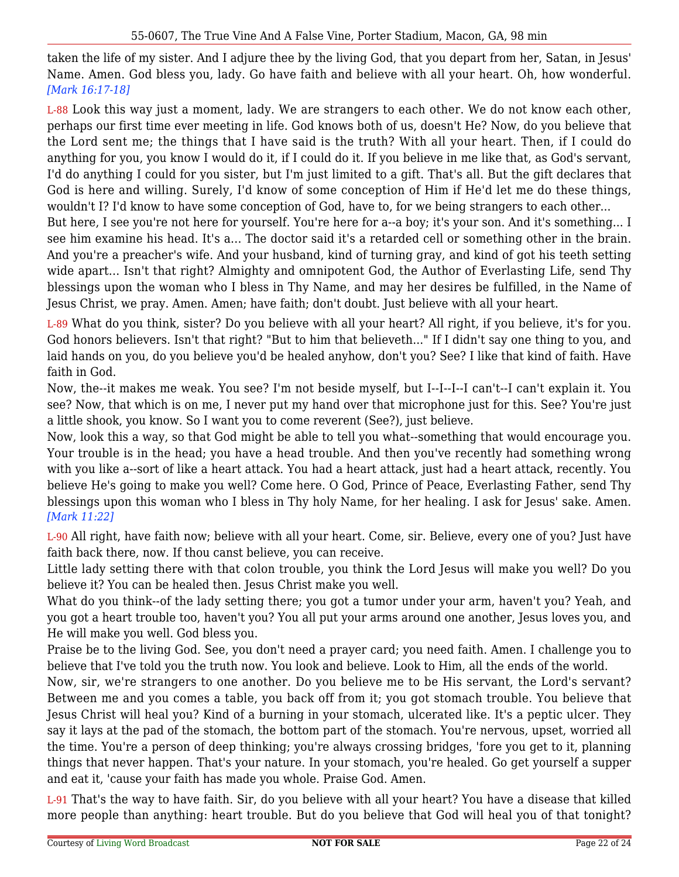taken the life of my sister. And I adjure thee by the living God, that you depart from her, Satan, in Jesus' Name. Amen. God bless you, lady. Go have faith and believe with all your heart. Oh, how wonderful. *[Mark 16:17-18]*

L-88 Look this way just a moment, lady. We are strangers to each other. We do not know each other, perhaps our first time ever meeting in life. God knows both of us, doesn't He? Now, do you believe that the Lord sent me; the things that I have said is the truth? With all your heart. Then, if I could do anything for you, you know I would do it, if I could do it. If you believe in me like that, as God's servant, I'd do anything I could for you sister, but I'm just limited to a gift. That's all. But the gift declares that God is here and willing. Surely, I'd know of some conception of Him if He'd let me do these things, wouldn't I? I'd know to have some conception of God, have to, for we being strangers to each other...

But here, I see you're not here for yourself. You're here for a--a boy; it's your son. And it's something... I see him examine his head. It's a... The doctor said it's a retarded cell or something other in the brain. And you're a preacher's wife. And your husband, kind of turning gray, and kind of got his teeth setting wide apart... Isn't that right? Almighty and omnipotent God, the Author of Everlasting Life, send Thy blessings upon the woman who I bless in Thy Name, and may her desires be fulfilled, in the Name of Jesus Christ, we pray. Amen. Amen; have faith; don't doubt. Just believe with all your heart.

L-89 What do you think, sister? Do you believe with all your heart? All right, if you believe, it's for you. God honors believers. Isn't that right? "But to him that believeth..." If I didn't say one thing to you, and laid hands on you, do you believe you'd be healed anyhow, don't you? See? I like that kind of faith. Have faith in God.

Now, the--it makes me weak. You see? I'm not beside myself, but I--I--I--I can't--I can't explain it. You see? Now, that which is on me, I never put my hand over that microphone just for this. See? You're just a little shook, you know. So I want you to come reverent (See?), just believe.

Now, look this a way, so that God might be able to tell you what--something that would encourage you. Your trouble is in the head; you have a head trouble. And then you've recently had something wrong with you like a--sort of like a heart attack. You had a heart attack, just had a heart attack, recently. You believe He's going to make you well? Come here. O God, Prince of Peace, Everlasting Father, send Thy blessings upon this woman who I bless in Thy holy Name, for her healing. I ask for Jesus' sake. Amen. *[Mark 11:22]*

L-90 All right, have faith now; believe with all your heart. Come, sir. Believe, every one of you? Just have faith back there, now. If thou canst believe, you can receive.

Little lady setting there with that colon trouble, you think the Lord Jesus will make you well? Do you believe it? You can be healed then. Jesus Christ make you well.

What do you think--of the lady setting there; you got a tumor under your arm, haven't you? Yeah, and you got a heart trouble too, haven't you? You all put your arms around one another, Jesus loves you, and He will make you well. God bless you.

Praise be to the living God. See, you don't need a prayer card; you need faith. Amen. I challenge you to believe that I've told you the truth now. You look and believe. Look to Him, all the ends of the world.

Now, sir, we're strangers to one another. Do you believe me to be His servant, the Lord's servant? Between me and you comes a table, you back off from it; you got stomach trouble. You believe that Jesus Christ will heal you? Kind of a burning in your stomach, ulcerated like. It's a peptic ulcer. They say it lays at the pad of the stomach, the bottom part of the stomach. You're nervous, upset, worried all the time. You're a person of deep thinking; you're always crossing bridges, 'fore you get to it, planning things that never happen. That's your nature. In your stomach, you're healed. Go get yourself a supper and eat it, 'cause your faith has made you whole. Praise God. Amen.

L-91 That's the way to have faith. Sir, do you believe with all your heart? You have a disease that killed more people than anything: heart trouble. But do you believe that God will heal you of that tonight?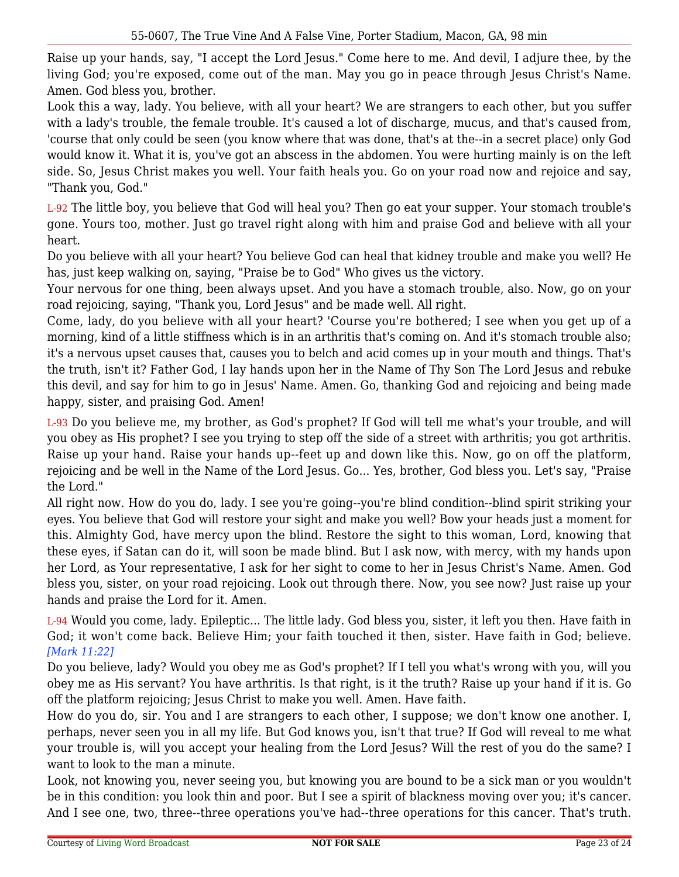Raise up your hands, say, "I accept the Lord Jesus." Come here to me. And devil, I adjure thee, by the living God; you're exposed, come out of the man. May you go in peace through Jesus Christ's Name. Amen. God bless you, brother.

Look this a way, lady. You believe, with all your heart? We are strangers to each other, but you suffer with a lady's trouble, the female trouble. It's caused a lot of discharge, mucus, and that's caused from, 'course that only could be seen (you know where that was done, that's at the--in a secret place) only God would know it. What it is, you've got an abscess in the abdomen. You were hurting mainly is on the left side. So, Jesus Christ makes you well. Your faith heals you. Go on your road now and rejoice and say, "Thank you, God."

L-92 The little boy, you believe that God will heal you? Then go eat your supper. Your stomach trouble's gone. Yours too, mother. Just go travel right along with him and praise God and believe with all your heart.

Do you believe with all your heart? You believe God can heal that kidney trouble and make you well? He has, just keep walking on, saying, "Praise be to God" Who gives us the victory.

Your nervous for one thing, been always upset. And you have a stomach trouble, also. Now, go on your road rejoicing, saying, "Thank you, Lord Jesus" and be made well. All right.

Come, lady, do you believe with all your heart? 'Course you're bothered; I see when you get up of a morning, kind of a little stiffness which is in an arthritis that's coming on. And it's stomach trouble also; it's a nervous upset causes that, causes you to belch and acid comes up in your mouth and things. That's the truth, isn't it? Father God, I lay hands upon her in the Name of Thy Son The Lord Jesus and rebuke this devil, and say for him to go in Jesus' Name. Amen. Go, thanking God and rejoicing and being made happy, sister, and praising God. Amen!

L-93 Do you believe me, my brother, as God's prophet? If God will tell me what's your trouble, and will you obey as His prophet? I see you trying to step off the side of a street with arthritis; you got arthritis. Raise up your hand. Raise your hands up--feet up and down like this. Now, go on off the platform, rejoicing and be well in the Name of the Lord Jesus. Go... Yes, brother, God bless you. Let's say, "Praise the Lord."

All right now. How do you do, lady. I see you're going--you're blind condition--blind spirit striking your eyes. You believe that God will restore your sight and make you well? Bow your heads just a moment for this. Almighty God, have mercy upon the blind. Restore the sight to this woman, Lord, knowing that these eyes, if Satan can do it, will soon be made blind. But I ask now, with mercy, with my hands upon her Lord, as Your representative, I ask for her sight to come to her in Jesus Christ's Name. Amen. God bless you, sister, on your road rejoicing. Look out through there. Now, you see now? Just raise up your hands and praise the Lord for it. Amen.

L-94 Would you come, lady. Epileptic... The little lady. God bless you, sister, it left you then. Have faith in God; it won't come back. Believe Him; your faith touched it then, sister. Have faith in God; believe. *[Mark 11:22]*

Do you believe, lady? Would you obey me as God's prophet? If I tell you what's wrong with you, will you obey me as His servant? You have arthritis. Is that right, is it the truth? Raise up your hand if it is. Go off the platform rejoicing; Jesus Christ to make you well. Amen. Have faith.

How do you do, sir. You and I are strangers to each other, I suppose; we don't know one another. I, perhaps, never seen you in all my life. But God knows you, isn't that true? If God will reveal to me what your trouble is, will you accept your healing from the Lord Jesus? Will the rest of you do the same? I want to look to the man a minute.

Look, not knowing you, never seeing you, but knowing you are bound to be a sick man or you wouldn't be in this condition: you look thin and poor. But I see a spirit of blackness moving over you; it's cancer. And I see one, two, three--three operations you've had--three operations for this cancer. That's truth.